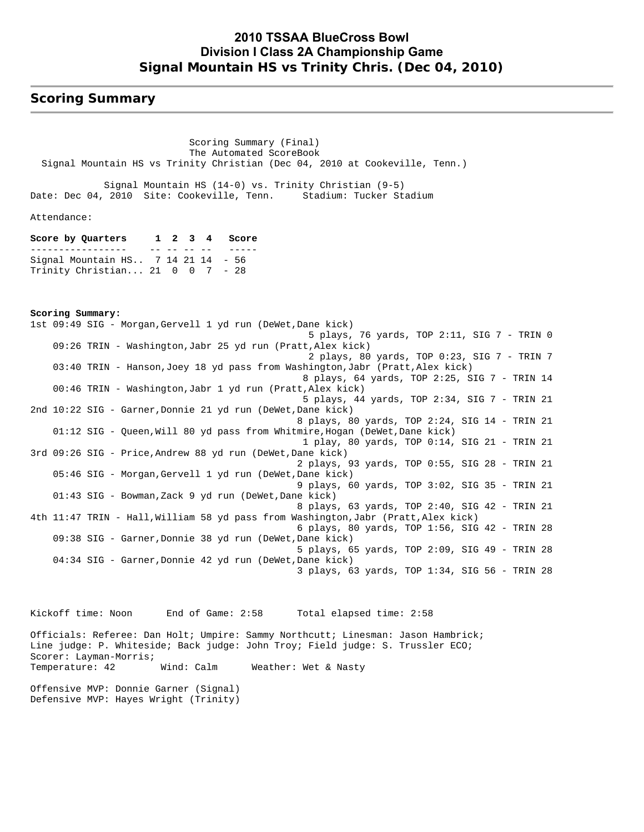### **2010 TSSAA BlueCross Bowl Division I Class 2A Championship Game Signal Mountain HS vs Trinity Chris. (Dec 04, 2010)**

### **Scoring Summary**

 Scoring Summary (Final) The Automated ScoreBook Signal Mountain HS vs Trinity Christian (Dec 04, 2010 at Cookeville, Tenn.)

 Signal Mountain HS (14-0) vs. Trinity Christian (9-5) Date: Dec 04, 2010 Site: Cookeville, Tenn. Stadium: Tucker Stadium

Attendance:

**Score by Quarters 1 2 3 4 Score** ----------------- - -- -- -- -- --Signal Mountain HS.. 7 14 21 14 - 56 Trinity Christian... 21 0 0 7 - 28

**Scoring Summary:** 1st 09:49 SIG - Morgan,Gervell 1 yd run (DeWet,Dane kick) 5 plays, 76 yards, TOP 2:11, SIG 7 - TRIN 0 09:26 TRIN - Washington,Jabr 25 yd run (Pratt,Alex kick) 2 plays, 80 yards, TOP 0:23, SIG 7 - TRIN 7 03:40 TRIN - Hanson,Joey 18 yd pass from Washington,Jabr (Pratt,Alex kick) 8 plays, 64 yards, TOP 2:25, SIG 7 - TRIN 14 00:46 TRIN - Washington,Jabr 1 yd run (Pratt,Alex kick) 5 plays, 44 yards, TOP 2:34, SIG 7 - TRIN 21 2nd 10:22 SIG - Garner,Donnie 21 yd run (DeWet,Dane kick) 8 plays, 80 yards, TOP 2:24, SIG 14 - TRIN 21 01:12 SIG - Queen,Will 80 yd pass from Whitmire,Hogan (DeWet,Dane kick) 1 play, 80 yards, TOP 0:14, SIG 21 - TRIN 21 3rd 09:26 SIG - Price,Andrew 88 yd run (DeWet,Dane kick) 2 plays, 93 yards, TOP 0:55, SIG 28 - TRIN 21 05:46 SIG - Morgan,Gervell 1 yd run (DeWet,Dane kick) 9 plays, 60 yards, TOP 3:02, SIG 35 - TRIN 21 01:43 SIG - Bowman,Zack 9 yd run (DeWet,Dane kick) 8 plays, 63 yards, TOP 2:40, SIG 42 - TRIN 21 4th 11:47 TRIN - Hall,William 58 yd pass from Washington,Jabr (Pratt,Alex kick) 6 plays, 80 yards, TOP 1:56, SIG 42 - TRIN 28 09:38 SIG - Garner,Donnie 38 yd run (DeWet,Dane kick) 5 plays, 65 yards, TOP 2:09, SIG 49 - TRIN 28 04:34 SIG - Garner, Donnie 42 yd run (DeWet, Dane kick) 3 plays, 63 yards, TOP 1:34, SIG 56 - TRIN 28

Kickoff time: Noon End of Game: 2:58 Total elapsed time: 2:58 Officials: Referee: Dan Holt; Umpire: Sammy Northcutt; Linesman: Jason Hambrick; Line judge: P. Whiteside; Back judge: John Troy; Field judge: S. Trussler ECO; Scorer: Layman-Morris; Temperature: 42 Wind: Calm Weather: Wet & Nasty Offensive MVP: Donnie Garner (Signal)

Defensive MVP: Hayes Wright (Trinity)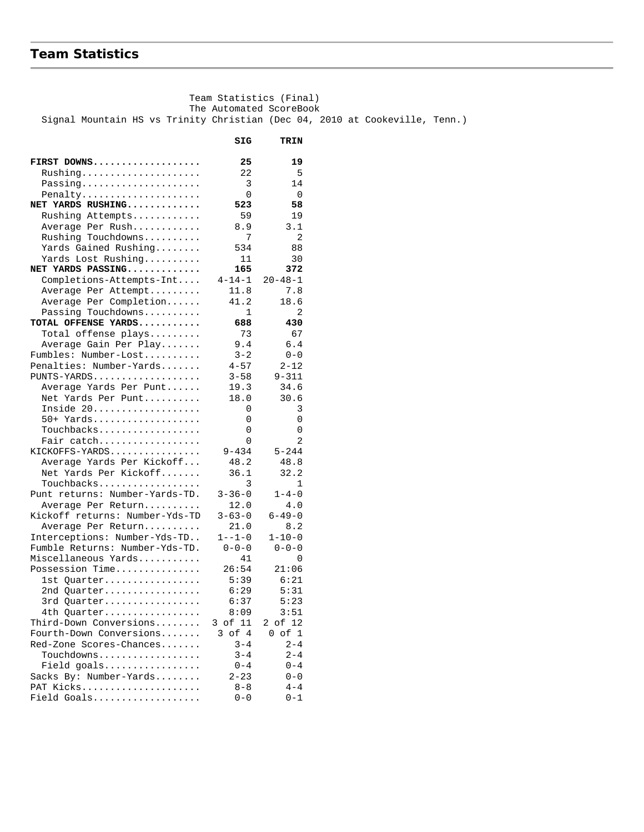## **Team Statistics**

 The Automated ScoreBook Signal Mountain HS vs Trinity Christian (Dec 04, 2010 at Cookeville, Tenn.)  **SIG TRIN FIRST DOWNS................... 25 19** Rushing..................... 22 5 Passing..................... Penalty..................... 0 0 **NET YARDS RUSHING............. 523 58** Rushing Attempts............ 59 19 Average Per Rush.............. 8.9 3.1 Rushing Touchdowns.......... 7 2 Yards Gained Rushing........ 534 88 Yards Lost Rushing........... 11 30 **NET YARDS PASSING............. 165 372** Completions-Attempts-Int.... 4-14-1 20-48-1 Average Per Attempt......... 11.8 7.8 Average Per Completion...... 41.2 18.6 Passing Touchdowns.......... 1 2 **TOTAL OFFENSE YARDS........... 688 430** Total offense plays......... 73 67 Average Gain Per Play....... 9.4 6.4 Fumbles: Number-Lost.......... 3-2 0-0 Penalties: Number-Yards....... 4-57 2-12<br>PUNTS-YARDS.................. 3-58 9-311 PUNTS-YARDS................... 3-58 9-311 Average Yards Per Punt...... 19.3 34.6 Net Yards Per Punt.......... 18.0 30.6 Inside 20................... 0 3 50+ Yards................... 0 0 Touchbacks.................. 0 0 Fair catch.................. 0 2 KICKOFFS-YARDS................ 9-434 5-244 Average Yards Per Kickoff... 48.2 48.8<br>Net Yards Per Kickoff....... 36.1 32.2 Net Yards Per Kickoff....... 36.1 32.2  $\begin{tabular}{ll} \texttt{Touchbacks.}\dots\dots\dots\dots\dots\dots\dots & 3 & 1 \\ \texttt{int returns: Number-Yards-TD.} & 3-36-0 & 1-4-0 \end{tabular}$ Punt returns: Number-Yards-TD. Average Per Return........... 12.0 4.0 Kickoff returns: Number-Yds-TD 3-63-0 6-49-0 Average Per Return.......... 21.0 8.2 Interceptions: Number-Yds-TD.. Fumble Returns: Number-Yds-TD. 0-0-0 0-0-0 Miscellaneous Yards........... 41 0 Possession Time............... 1st Quarter................. 5:39 6:21 2nd Quarter................. 6:29 5:31 3rd Quarter................. 6:37 5:23 4th Quarter................. 8:09 3:51 Third-Down Conversions........ 3 of 11 2 of 12 Fourth-Down Conversions....... 3 of 4 0 of 1<br>Red-Zone Scores-Chances....... 3-4 2-4 Red-Zone Scores-Chances....... 3-4 2-4<br>Touchdowns.................. 3-4 2-4 Touchdowns.................. Field goals................. 0-4 0-4 Sacks By: Number-Yards........ PAT Kicks..................... 8-8 4-4 Field Goals................... 0-0 0-1

Team Statistics (Final)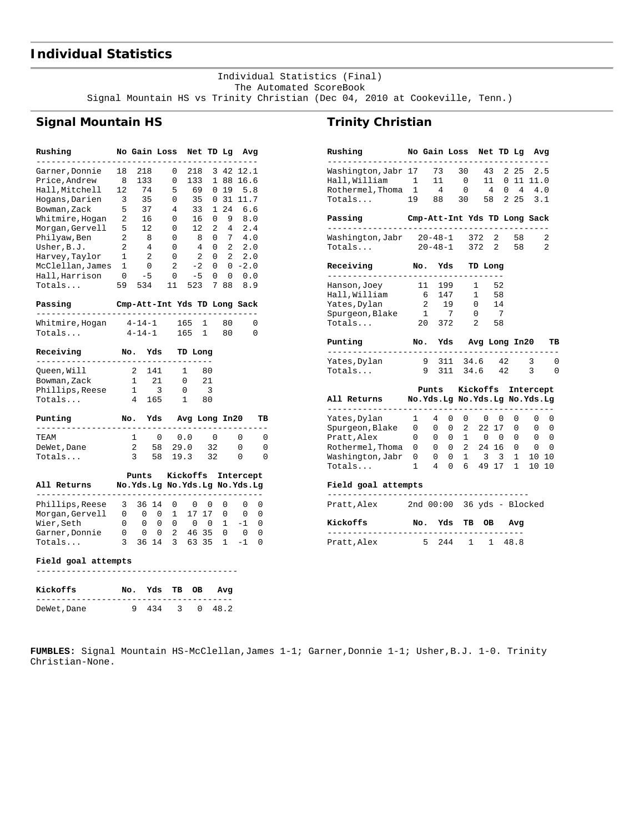# **Individual Statistics**

 Individual Statistics (Final) The Automated ScoreBook Signal Mountain HS vs Trinity Christian (Dec 04, 2010 at Cookeville, Tenn.)

## **Signal Mountain HS**

| Rushing                      |                              | No Gain Loss                           |                |          |                     |                         |                 |                | Net TD Lg | Avg                   |    |
|------------------------------|------------------------------|----------------------------------------|----------------|----------|---------------------|-------------------------|-----------------|----------------|-----------|-----------------------|----|
| Garner, Donnie               | 18                           | 218                                    |                |          | 0                   | 218                     |                 |                | 3 4 2     | 12.1                  |    |
| Price,Andrew                 | 8                            | 133                                    |                |          | $\mathbf{0}$        | 133                     |                 | $\mathbf{1}$   | 88        | 16.6                  |    |
| Hall, Mitchell               | 5<br>12<br>74<br>69          |                                        | 0              |          | 19 5.8              |                         |                 |                |           |                       |    |
| Hogans, Darien               | 3                            | 35                                     |                |          | $\mathbf{0}$        |                         | 35              | 0              | 31        | 11.7                  |    |
| Bowman, Zack                 | 5                            | 37                                     |                |          | 4                   |                         | 33              |                |           | 1246.6                |    |
| Whitmire, Hogan 2            |                              | 16                                     |                |          | 0                   |                         | 16              |                |           | 0 9 8.0               |    |
| Morgan, Gervell              | 5                            | 12                                     |                |          | 0                   |                         | 12 <sup>7</sup> |                |           | $2 \t 4 \t 2.4$       |    |
| Philyaw, Ben                 | $\overline{2}$               | $\overline{\mathbf{8}}$                |                |          | 0                   |                         | 8               |                |           | $0 \t 7 \t 4.0$       |    |
| Usher, B.J.                  | 2                            | $\overline{4}$                         |                |          | 0                   |                         | 4               |                |           | $0 \quad 2 \quad 2.0$ |    |
| Harvey, Taylor               | $\mathbf{1}$                 | 2                                      |                |          | 0                   |                         | $\overline{a}$  | $\Omega$       | 2         | 2.0                   |    |
| McClellan, James             | $\mathbf{1}$                 | $\overline{0}$                         |                |          | 2                   | $-2$                    |                 |                |           | $0 \t 0 \t -2.0$      |    |
| Hall, Harrison               | $0 - 5$                      |                                        |                |          | $\mathbf{0}$        |                         | $-5$            | $\overline{0}$ | 0         | 0.0                   |    |
| Totals                       | 59                           | 534                                    |                | 11       |                     |                         | 523             |                | 7 88      | 8.9                   |    |
| Passing<br>--------------    | Cmp-Att-Int Yds TD Long Sack |                                        |                |          |                     |                         |                 |                |           |                       |    |
| Whitmire, Hogan 4-14-1       |                              |                                        |                |          | 165                 |                         | $\mathbf{1}$    |                | 80        |                       | 0  |
| Totals                       |                              | $4 - 14 - 1$                           |                |          | 165 1               |                         |                 |                | 80        |                       | 0  |
| Receiving                    | No. Yds                      |                                        |                |          | TD Long             |                         |                 |                |           |                       |    |
| Queen,Will                   |                              | 2 141                                  |                |          | $\mathbf{1}$        |                         | -80             |                |           |                       |    |
| Bowman, Zack                 |                              | $\mathbf{1}$<br>21                     |                |          | $\overline{0}$      |                         | 21              |                |           |                       |    |
| Phillips, Reese              | $\overline{\phantom{1}}$     | $\overline{\phantom{a}}$               |                | $\Omega$ |                     | $\overline{\mathbf{3}}$ |                 |                |           |                       |    |
| Totals                       | $\overline{4}$               |                                        | 165            |          | $\mathbf{1}$        |                         | 80              |                |           |                       |    |
| Punting                      |                              | No. Yds Avg Long In20                  |                |          |                     |                         |                 |                |           |                       | тв |
| .<br>TEAM                    | ----                         | $\mathbf{1}$                           | $\overline{0}$ |          | 0.0                 |                         |                 | $\overline{0}$ |           | 0                     | 0  |
| DeWet, Dane                  |                              | $2^{\circ}$                            |                |          | 58 29.0 32          |                         |                 |                |           | 0                     | 0  |
| Totals                       |                              | 3 58                                   |                |          |                     |                         |                 |                | 19.3 32   | 0                     | 0  |
|                              |                              |                                        |                |          |                     |                         |                 |                |           |                       |    |
| All Returns                  |                              | Punts<br>No.Yds.Lg No.Yds.Lg No.Yds.Lg |                |          |                     |                         |                 |                |           | Kickoffs Intercept    |    |
|                              |                              |                                        |                |          |                     |                         |                 |                |           |                       |    |
| Phillips, Reese              | 3                            | 36 14                                  |                |          | 0<br>1              | $\mathbf{0}$            |                 | 0              | 0         | 0                     | 0  |
| Morgan,Gervell               | 0                            | $0\qquad 0\qquad 0$                    |                |          |                     |                         | 17 17           |                | 0         | $\mathbf{0}$          | 0  |
| Wier, Seth<br>Garner, Donnie |                              | $0\qquad 0$                            |                |          | 0<br>$\overline{2}$ | $\overline{0}$          | 46 35           | $\overline{0}$ | 1         | $-1$                  | 0  |
|                              | 0                            | 0                                      | 0              |          |                     |                         |                 |                | 0         | 0                     | 0  |

### **Trinity Christian**

| Rushing                                             | No Gain Loss                  |                         |                                                |              |                |                                                                    |                |    |    | Net TD Lg | Avg                          |                |
|-----------------------------------------------------|-------------------------------|-------------------------|------------------------------------------------|--------------|----------------|--------------------------------------------------------------------|----------------|----|----|-----------|------------------------------|----------------|
| Washington, Jabr 17                                 |                               |                         | 73                                             |              | 30             |                                                                    | 43             |    |    | 2 2 5     |                              | 2.5            |
| Hall,William                                        | 1                             |                         | 11                                             |              | $\overline{0}$ |                                                                    | 11             |    |    | 011       | 11.0                         |                |
| Rothermel, Thoma 1                                  |                               |                         | 4                                              |              | $\overline{0}$ |                                                                    | 4              |    |    |           | $0 \t 4 \t 4.0$              |                |
| Totals                                              | 19                            |                         | 88                                             |              | 30             |                                                                    | 58             |    |    |           | 2, 25, 3, 1                  |                |
| Passing                                             |                               |                         |                                                |              |                |                                                                    |                |    |    |           | Cmp-Att-Int Yds TD Long Sack |                |
| Washington, Jabr 20-48-1                            |                               |                         |                                                |              |                | 372                                                                |                | 2  |    | 58        |                              | 2              |
| Totals                                              |                               | $20 - 48 - 1$           |                                                |              |                | 372                                                                |                | 2  |    | 58        |                              | $\mathfrak{D}$ |
| Receiving<br>-----------                            |                               | No.                     |                                                |              | Yds            | TD Long                                                            |                |    |    |           |                              |                |
| Hanson, Joey                                        |                               | 11                      | 199                                            |              |                | 1                                                                  |                | 52 |    |           |                              |                |
| Hall, William                                       |                               | 6                       |                                                | 147          |                | 1                                                                  |                | 58 |    |           |                              |                |
| Yates, Dylan                                        |                               | $\overline{2}$          | 19                                             |              |                | 0                                                                  |                | 14 |    |           |                              |                |
| Spurgeon, Blake                                     |                               | $\overline{1}$          |                                                | 7            |                | - 7<br>0                                                           |                |    |    |           |                              |                |
| Totals                                              |                               | 20 372                  |                                                |              |                | $\overline{a}$                                                     |                | 58 |    |           |                              |                |
| Punting<br>----------                               |                               |                         | No. Yds Avg Long In20<br>--------<br>$- - - -$ |              |                |                                                                    | тв             |    |    |           |                              |                |
| Yates, Dylan                                        |                               | 9                       |                                                | 311          |                | 34.6                                                               |                |    | 42 |           | 3                            | 0              |
| Totals                                              |                               | 9                       |                                                | 311          |                | 34.6                                                               |                | 42 |    |           | 3                            | $\Omega$       |
|                                                     |                               |                         |                                                |              |                |                                                                    |                |    |    |           | Punts Kickoffs Intercept     |                |
| All Returns<br>.<br>. _ _ _ _ _ _ _ _ _ _ _ _ _ _ _ | No.Yds.Lg No.Yds.Lg No.Yds.Lg |                         |                                                |              |                |                                                                    |                |    |    |           |                              |                |
| Yates, Dylan                                        | 1                             |                         | $\overline{4}$                                 | 0            | $\mathbf{0}$   |                                                                    | $\overline{0}$ | 0  |    | 0         | 0                            | 0              |
| Spurgeon, Blake 0                                   |                               |                         | $\mathbf{0}$                                   | $\mathsf{O}$ |                | 2 22 17                                                            |                |    |    | 0         | $\mathbf{0}$                 | 0              |
| Pratt, Alex                                         | 0                             | $\overline{\mathbf{0}}$ |                                                |              |                | $\begin{matrix} 0 & 1 & 0 & 0 \end{matrix}$                        |                |    |    | 0         | $\mathbf{0}$                 | 0              |
| Rothermel, Thoma                                    | 0                             |                         | $\mathbf{0}$                                   |              |                | $\begin{array}{cccc} 0 & 2 & 24 & 16 \\ 0 & 1 & 3 & 3 \end{array}$ |                |    |    | 0         | $\overline{0}$               | 0              |
| Washington, Jabr                                    | 0                             |                         | $\mathbf{0}$                                   |              |                |                                                                    |                |    |    | 1         | 10 10                        |                |
| Totals                                              | $\mathbf 1$                   |                         | $\overline{4}$                                 |              |                | 0 6 49 17                                                          |                |    |    | 1         |                              | 10 10          |
|                                                     |                               |                         |                                                |              |                |                                                                    |                |    |    |           |                              |                |
|                                                     |                               |                         |                                                |              |                |                                                                    |                |    |    |           |                              |                |
| Field goal attempts<br>Pratt,Alex                   | $2nd 00:00 36 yds - Blocked$  |                         |                                                |              |                |                                                                    |                |    |    |           |                              |                |
| Kickoffs                                            |                               | No.                     |                                                | Yds          |                | TВ                                                                 | OВ             |    |    | Avg       |                              |                |

#### **Field goal attempts**  ----------------------------------------

| Kickoffs    | No. Yds TB OB Avg |  |                |  |
|-------------|-------------------|--|----------------|--|
| DeWet, Dane |                   |  | 9 434 3 0 48.2 |  |

Totals... 3 36 14 3 63 35 1 -1 0

**FUMBLES:** Signal Mountain HS-McClellan,James 1-1; Garner,Donnie 1-1; Usher,B.J. 1-0. Trinity Christian-None.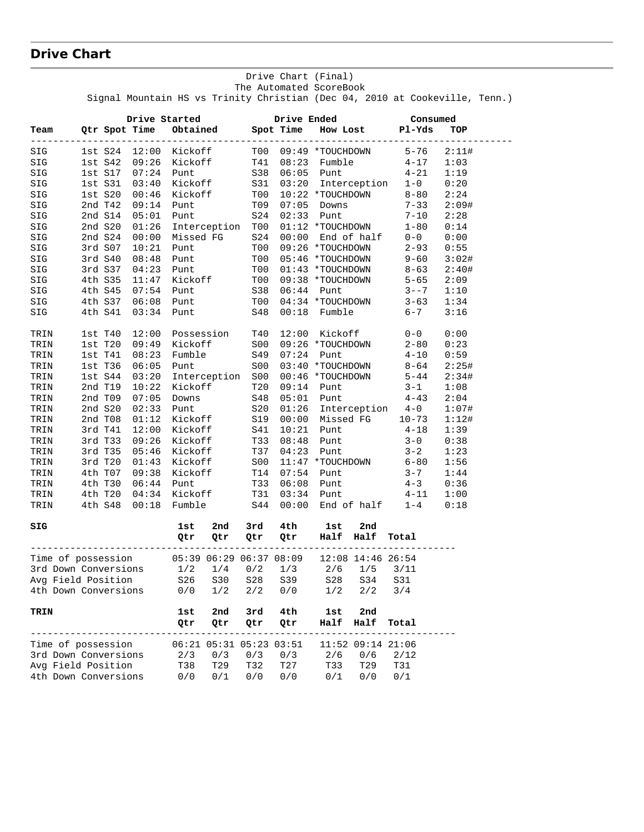# **Drive Chart**

|                      |             |                                           |         |                                        |     |            | The Automated ScoreBook                                                                                                   |                   | Signal Mountain HS vs Trinity Christian (Dec 04, 2010 at Cookeville, Tenn.)                           |       |  |
|----------------------|-------------|-------------------------------------------|---------|----------------------------------------|-----|------------|---------------------------------------------------------------------------------------------------------------------------|-------------------|-------------------------------------------------------------------------------------------------------|-------|--|
|                      |             |                                           |         |                                        |     |            |                                                                                                                           |                   | Consumed                                                                                              |       |  |
| Team                 |             |                                           |         |                                        |     |            |                                                                                                                           |                   | Drive Started Drive Ended Consume<br>Qtr Spot Time Obtained Spot Time How Lost Pl-Yds                 | TOP   |  |
| SIG                  |             |                                           |         |                                        |     |            | 1st S24 12:00 Kickoff T00 09:49 *TOUCHDOWN<br>1st S42 09:26 Kickoff T41 08:23 Fumble<br>1st S17 07:24 Punt S38 06:05 Punt |                   | $5 - 76$                                                                                              | 2:11# |  |
| SIG                  |             |                                           |         |                                        |     |            |                                                                                                                           |                   |                                                                                                       | 1:03  |  |
| SIG                  |             |                                           |         |                                        |     |            |                                                                                                                           |                   | $4 - 17$<br>$4 - 21$                                                                                  | 1:19  |  |
| SIG                  | 1st S31     | 03:40                                     |         |                                        |     |            |                                                                                                                           |                   | Kickoff S31 03:20 Interception 1-0                                                                    | 0:20  |  |
| SIG                  |             | 1st S20 00:46                             |         |                                        |     |            |                                                                                                                           |                   |                                                                                                       | 2:24  |  |
| SIG                  |             | 2nd T42 09:14                             |         |                                        |     |            |                                                                                                                           |                   |                                                                                                       | 2:09# |  |
| SIG                  |             | 2nd S14 05:01                             |         |                                        |     |            |                                                                                                                           |                   | Kickoff T00 10:22 *TOUCHDOWN 8-80<br>Punt T09 07:05 Downs 7-33<br>Punt S24 02:33 Punt 7-10            | 2:28  |  |
| SIG                  | 2nd S20     | 01:26                                     |         | Interception T00                       |     |            |                                                                                                                           |                   |                                                                                                       | 0:14  |  |
| SIG                  | 2nd S24     | 00:00                                     |         |                                        |     |            |                                                                                                                           |                   | T00 01:12 *TOUCHDOWN 1-80<br>S24 00:00 End of half 0-0                                                | 0:00  |  |
| $\mathtt{SIG}$       | 3rd S07     | 10:21                                     |         | Missed FG<br>Punt                      | T00 |            |                                                                                                                           |                   | $09:26$ *TOUCHDOWN $2-93$                                                                             | 0:55  |  |
| $\mathtt{SIG}$       | 3rd S40     | 08:48                                     |         |                                        |     |            |                                                                                                                           |                   | Punt T00 05:46 *TOUCHDOWN 9-60<br>Punt T00 01:43 *TOUCHDOWN 8-63<br>Kickoff T00 09:38 *TOUCHDOWN 5-65 | 3:02# |  |
| SIG                  | 3rd S37     | 04:23                                     |         |                                        |     |            |                                                                                                                           |                   |                                                                                                       | 2:40# |  |
| SIG                  | 4th S35     | 11:47                                     |         |                                        |     |            |                                                                                                                           |                   |                                                                                                       | 2:09  |  |
| SIG                  | 4th S45     | 07:54                                     | Punt    |                                        |     |            |                                                                                                                           |                   | $3 - -7$                                                                                              | 1:10  |  |
| SIG                  |             | 4th S37 06:08 Punt                        |         |                                        |     |            |                                                                                                                           |                   |                                                                                                       | 1:34  |  |
| SIG                  | 4th S41     | $03:34$ Punt                              |         |                                        |     |            |                                                                                                                           |                   | S38 06:44 Punt 3--7<br>T00 04:34 *TOUCHDOWN 3-63<br>S48 00:18 Fumble 6-7<br>$6 - 7$                   | 3:16  |  |
| TRIN                 | 1st T40     | 12:00 Possession T40<br>09:49 Kickoff S00 |         |                                        |     |            | 12:00 Kickoff                                                                                                             |                   | $0 - 0$                                                                                               | 0:00  |  |
| TRIN                 |             | 1st T20 09:49                             |         |                                        |     |            | 09:26 *TOUCHDOWN                                                                                                          |                   | $2 - 80$                                                                                              | 0:23  |  |
| TRIN                 | 1st T41     | 08:23                                     |         | Fumble                                 | S49 | 07:24      | Punt                                                                                                                      |                   | $4 - 10$                                                                                              | 0:59  |  |
| TRIN                 | 1st T36     | 06:05                                     | Punt    |                                        | S00 |            |                                                                                                                           |                   | $03:40$ *TOUCHDOWN 8-64                                                                               | 2:25# |  |
| TRIN                 | $1st$ $S44$ | 03:20                                     |         | Interception S00                       |     |            | 00:46 *TOUCHDOWN<br>09:14 Punt                                                                                            |                   | $5 - 44$<br>$3 - 1$                                                                                   | 2:34# |  |
| TRIN                 | 2nd T19     | 10:22                                     |         | Kickoff T20                            |     |            |                                                                                                                           |                   |                                                                                                       | 1:08  |  |
| TRIN                 | 2nd T09     | 07:05                                     |         | Downs<br>Punt S20<br>Kickoff S19       |     | 05:01      |                                                                                                                           |                   | Punt $4-43$                                                                                           | 2:04  |  |
| TRIN                 | 2nd S20     | 02:33                                     |         |                                        |     |            |                                                                                                                           |                   | 01:26 Interception 4-0<br>00:00 Missed FG 10-73                                                       | 1:07# |  |
| TRIN                 | 2nd T08     | 01:12                                     |         |                                        |     |            |                                                                                                                           |                   |                                                                                                       | 1:12# |  |
| TRIN                 | 3rd T41     | 12:00                                     |         | Kickoff                                | S41 |            |                                                                                                                           |                   | $10:21$ Punt $4-18$                                                                                   | 1:39  |  |
| TRIN                 | 3rd T33     | 09:26                                     |         | Kickoff                                | T33 | 08:48      | Punt                                                                                                                      |                   | $3 - 0$<br>$3 - 2$                                                                                    | 0:38  |  |
| TRIN                 | 3rd T35     | 05:46                                     | Kickoff |                                        | T37 | 04:23 Punt |                                                                                                                           |                   |                                                                                                       | 1:23  |  |
| TRIN                 | 3rd T20     | 01:43                                     |         | Kickoff                                | S00 |            |                                                                                                                           |                   | $11:47$ *TOUCHDOWN 6-80                                                                               | 1:56  |  |
| TRIN                 | 4th T07     | 09:38                                     |         |                                        |     |            | 07:54 Punt                                                                                                                |                   | $3 - 7$<br>4 - 3                                                                                      | 1:44  |  |
| TRIN                 |             | 4th T30 06:44                             |         |                                        |     |            | $06:08$ Punt                                                                                                              |                   |                                                                                                       | 0:36  |  |
| TRIN                 |             | 4th T20 04:34                             |         | Kickoff T14<br>Punt T33<br>Kickoff T31 |     |            |                                                                                                                           |                   | $03:34$ Punt $4-11$                                                                                   | 1:00  |  |
| TRIN                 | 4th S48     | 00:18                                     |         | Fumble S44                             |     |            |                                                                                                                           |                   | $00:00$ End of half $1-4$                                                                             | 0:18  |  |
| SIG                  |             |                                           | 1st     | 2nd                                    | 3rd | 4th        | 1st                                                                                                                       | 2nd               |                                                                                                       |       |  |
|                      |             |                                           | Qtr     | Qtr                                    | Qtr | Qtr        |                                                                                                                           | Half Half Total   |                                                                                                       |       |  |
| Time of possession   |             |                                           |         | 05:39 06:29 06:37 08:09                |     |            |                                                                                                                           | 12:08 14:46 26:54 |                                                                                                       |       |  |
| 3rd Down Conversions |             |                                           | 1/2     | 1/4                                    | 0/2 | 1/3        | 2/6                                                                                                                       | 1/5               | 3/11                                                                                                  |       |  |
| Avg Field Position   |             |                                           | S26     | S30                                    | S28 | S39        | S28                                                                                                                       | S34               | S31                                                                                                   |       |  |
| 4th Down Conversions |             |                                           | 0/0     | 1/2                                    | 2/2 | 0/0        | 1/2                                                                                                                       | 2/2               | 3/4                                                                                                   |       |  |
| TRIN                 |             |                                           | 1st     | 2nd                                    | 3rd | 4th        | 1st                                                                                                                       | 2nd               |                                                                                                       |       |  |
|                      |             |                                           | Qtr     | Qtr                                    | Qtr | Qtr        | Half                                                                                                                      | Half              | Total                                                                                                 |       |  |
| Time of possession   |             |                                           |         | 06:21 05:31 05:23 03:51                |     |            |                                                                                                                           | 11:52 09:14 21:06 |                                                                                                       |       |  |
| 3rd Down Conversions |             |                                           | 2/3     | 0/3                                    | 0/3 | 0/3        | 2/6                                                                                                                       | 0/6               | 2/12                                                                                                  |       |  |
| Avg Field Position   |             |                                           | T38     | T29                                    | T32 | T27        | T33                                                                                                                       | T29               | T31                                                                                                   |       |  |
| 4th Down Conversions |             |                                           | 0/0     | 0/1                                    | 0/0 | 0/0        | 0/1                                                                                                                       | 0/0               | 0/1                                                                                                   |       |  |

Drive Chart (Final)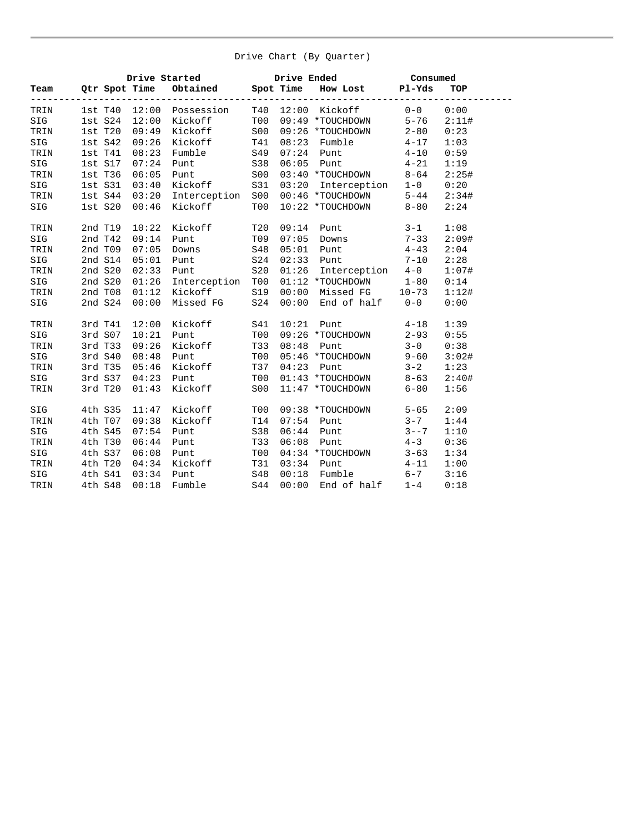#### Drive Chart (By Quarter)

|      |              |               | Drive Started      |                 |       | Drive Ended Consumed      |          |       |
|------|--------------|---------------|--------------------|-----------------|-------|---------------------------|----------|-------|
| Team |              | Qtr Spot Time | Obtained Spot Time |                 |       | How Lost Pl-Yds           |          | TOP   |
| TRIN |              | 1st T40 12:00 | Possession         |                 |       | T40 12:00 Kickoff         | $0 - 0$  | 0:00  |
| SIG  | $1st$ $S24$  | 12:00         | Kickoff            | T00             |       | 09:49 *TOUCHDOWN          | $5 - 76$ | 2:11# |
| TRIN | $1st$ $T20$  | 09:49         | Kickoff            | S00             |       | 09:26 *TOUCHDOWN          | $2 - 80$ | 0:23  |
| SIG  | $1st$ $S42$  | 09:26         | Kickoff            | T41             | 08:23 | Fumble                    | $4 - 17$ | 1:03  |
| TRIN | 1stT41       | 08:23         | Fumble             | S49             | 07:24 | Punt                      | $4 - 10$ | 0:59  |
| SIG  | 1st S17      | 07:24         | Punt               | S38             | 06:05 | Punt                      | $4 - 21$ | 1:19  |
| TRIN | $1st$ T $36$ | 06:05         | Punt               | S00             |       | 03:40 *TOUCHDOWN          | $8 - 64$ | 2:25# |
| SIG  | 1st S31      | 03:40         | Kickoff            | S31             |       | 03:20 Interception        | $1 - 0$  | 0:20  |
| TRIN | $1st$ $S44$  | 03:20         | Interception       | S00             |       | 00:46 *TOUCHDOWN 5-44     |          | 2:34# |
| SIG  | $1st$ $S20$  | 00:46         | Kickoff            | T00             |       | 10:22 *TOUCHDOWN          | $8 - 80$ | 2:24  |
| TRIN | 2nd T19      | 10:22         | Kickoff            | T20             | 09:14 | Punt                      | $3 - 1$  | 1:08  |
| SIG  | 2nd T42      | 09:14         | Punt               | T09             | 07:05 | Downs                     | $7 - 33$ | 2:09# |
| TRIN | 2nd T09      | 07:05         | Downs              | S48             | 05:01 | Punt                      | $4 - 43$ | 2:04  |
| SIG  | 2nd S14      | 05:01         | Punt               | S24             | 02:33 | Punt                      | $7 - 10$ | 2:28  |
| TRIN | 2nd S20      | 02:33         | Punt               | S <sub>20</sub> | 01:26 | Interception 4-0          |          | 1:07# |
| SIG  | 2nd S20      | 01:26         | Interception       | T00             |       | $01:12$ *TOUCHDOWN $1-80$ |          | 0:14  |
| TRIN | 2nd T08      | 01:12         | Kickoff            | S19             | 00:00 | Missed FG 10-73           |          | 1:12# |
| SIG  | 2nd S24      | 00:00         | Missed FG          | S24             | 00:00 | End of $half$ 0-0         |          | 0:00  |
| TRIN | 3rd T41      | 12:00         | Kickoff            | S41             | 10:21 | Punt                      | $4 - 18$ | 1:39  |
| SIG  | 3rd S07      | 10:21         | Punt               | T00             |       | 09:26 *TOUCHDOWN          | $2 - 93$ | 0:55  |
| TRIN | 3rd T33      | 09:26         | Kickoff            | T33             | 08:48 | Punt                      | $3 - 0$  | 0:38  |
| SIG  | 3rd S40      | 08:48         | Punt               | T00             |       | 05:46 *TOUCHDOWN          | $9 - 60$ | 3:02# |
| TRIN | 3rd T35      | 05:46         | Kickoff            | T37             | 04:23 | Punt                      | $3 - 2$  | 1:23  |
| SIG  | 3rd S37      | 04:23         | Punt               | T00             |       | 01:43 *TOUCHDOWN          | $8 - 63$ | 2:40# |
| TRIN | 3rd T20      | 01:43         | Kickoff            | S <sub>0</sub>  |       | 11:47 *TOUCHDOWN          | $6 - 80$ | 1:56  |
| SIG  | 4th S35      | 11:47         | Kickoff            | T <sub>00</sub> |       | 09:38 *TOUCHDOWN          | $5 - 65$ | 2:09  |
| TRIN | 4th T07      | 09:38         | Kickoff            | T14             | 07:54 | Punt                      | $3 - 7$  | 1:44  |
| SIG  | 4th S45      | 07:54         | Punt               | S38             | 06:44 | Punt                      | $3 - -7$ | 1:10  |
| TRIN | 4th T30      | 06:44         | Punt               | T33             | 06:08 | Punt                      | $4 - 3$  | 0:36  |
| SIG  | 4th S37      | 06:08         | Punt               | T00             |       | 04:34 *TOUCHDOWN          | $3 - 63$ | 1:34  |
| TRIN | 4th T20      | 04:34         | Kickoff            | T31             | 03:34 | Punt                      | $4 - 11$ | 1:00  |
| SIG  | 4th S41      | 03:34         | Punt               | S48             | 00:18 | Fumble                    | $6 - 7$  | 3:16  |
| TRIN | 4th S48      | 00:18         | Fumble             | S44             | 00:00 | End of half               | $1 - 4$  | 0:18  |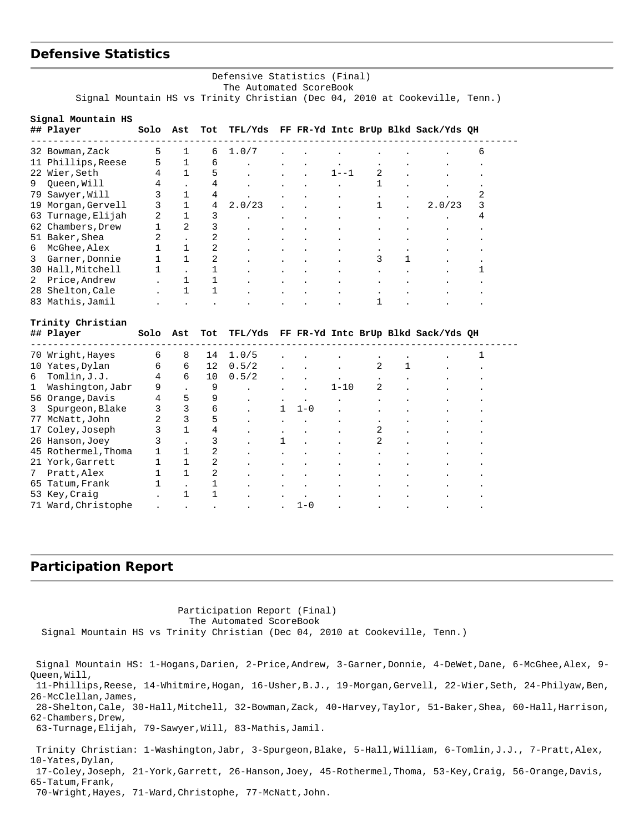### **Defensive Statistics**

#### Defensive Statistics (Final) The Automated ScoreBook Signal Mountain HS vs Trinity Christian (Dec 04, 2010 at Cookeville, Tenn.)

| Signal Mountain HS<br>## Player | Solo | Ast          | Tot          | TFL/Yds |   |         |          |   |   | FF FR-Yd Intc BrUp Blkd Sack/Yds QH         |   |
|---------------------------------|------|--------------|--------------|---------|---|---------|----------|---|---|---------------------------------------------|---|
| 32 Bowman, Zack                 | 5    | 1            | 6            | 1.0/7   |   |         |          |   |   |                                             | 6 |
| Phillips, Reese<br>11           | 5    | $\mathbf{1}$ | 6            |         |   |         |          |   |   |                                             |   |
| Wier, Seth<br>22                | 4    | $\mathbf{1}$ | 5            |         |   |         | $1 - -1$ | 2 |   |                                             |   |
| Queen, Will<br>9                | 4    |              | 4            |         |   |         |          | 1 |   |                                             |   |
| Sawyer, Will<br>79              | 3    | 1            | 4            |         |   |         |          |   |   |                                             | 2 |
| Morgan, Gervell<br>19           | 3    | 1            | 4            | 2.0/23  |   |         |          | 1 |   | 2.0/23                                      | 3 |
| Turnage, Elijah<br>63           | 2    | 1            | 3            |         |   |         |          |   |   |                                             | 4 |
| Chambers, Drew<br>62            | 1    | 2            | 3            |         |   |         |          |   |   |                                             |   |
| 51 Baker, Shea                  | 2    |              | 2            |         |   |         |          |   |   |                                             |   |
| McGhee, Alex<br>6               | 1    | 1            | 2            |         |   |         |          |   |   |                                             |   |
| Garner, Donnie<br>3             | 1    | 1            | 2            |         |   |         |          | 3 | 1 |                                             |   |
| 30 Hall, Mitchell               | 1    |              | 1            |         |   |         |          |   |   |                                             | 1 |
| Price, Andrew<br>2              |      | 1            | 1            |         |   |         |          |   |   |                                             |   |
| 28 Shelton, Cale                |      | $\mathbf{1}$ | 1            |         |   |         |          |   |   |                                             |   |
| 83 Mathis, Jamil                |      |              |              |         |   |         |          | 1 |   |                                             |   |
| Trinity Christian               |      |              |              |         |   |         |          |   |   |                                             |   |
| ## Player                       | Solo | Ast          | Tot          |         |   |         |          |   |   | TFL/Yds FF FR-Yd Intc BrUp Blkd Sack/Yds QH |   |
| 70 Wright, Hayes                | 6    | 8            | 14           | 1.0/5   |   |         |          |   |   |                                             | 1 |
| 10 Yates, Dylan                 | 6    | 6            | 12           | 0.5/2   |   |         |          | 2 | 1 |                                             |   |
| Tomlin, J.J.<br>6               | 4    | 6            | 10           | 0.5/2   |   |         |          |   |   |                                             |   |
| 1<br>Washington, Jabr           | 9    |              | 9            |         |   |         | $1 - 10$ | 2 |   |                                             |   |
| 56 Orange, Davis                | 4    | 5            | 9            |         |   |         |          |   |   |                                             |   |
| 3<br>Spurgeon, Blake            | 3    | 3            | 6            |         | 1 | $1 - 0$ |          |   |   |                                             |   |
| 77 McNatt, John                 | 2    | 3            | 5            |         |   |         |          |   |   |                                             |   |
| Coley, Joseph<br>17             | 3    | $\mathbf{1}$ | 4            |         |   |         |          | 2 |   |                                             |   |
| 26 Hanson, Joey                 | 3    |              | 3            |         | 1 |         |          | 2 |   |                                             |   |
| 45 Rothermel, Thoma             | 1    | 1            | 2            |         |   |         |          |   |   |                                             |   |
| 21 York, Garrett                | 1    | $\mathbf{1}$ | 2            |         |   |         |          |   |   |                                             |   |
| Pratt, Alex<br>7                | 1    | $\mathbf{1}$ | 2            |         |   |         |          |   |   |                                             |   |
| Tatum, Frank<br>65              | 1    |              | 1            |         |   |         |          |   |   |                                             |   |
| 53 Key, Craig                   |      | $\mathbf{1}$ | $\mathbf{1}$ |         |   |         |          |   |   |                                             |   |
| 71 Ward, Christophe             |      |              |              |         |   | $1 - 0$ |          |   |   |                                             |   |

#### **Participation Report**

 Participation Report (Final) The Automated ScoreBook Signal Mountain HS vs Trinity Christian (Dec 04, 2010 at Cookeville, Tenn.) Signal Mountain HS: 1-Hogans,Darien, 2-Price,Andrew, 3-Garner,Donnie, 4-DeWet,Dane, 6-McGhee,Alex, 9- Queen,Will, 11-Phillips,Reese, 14-Whitmire,Hogan, 16-Usher,B.J., 19-Morgan,Gervell, 22-Wier,Seth, 24-Philyaw,Ben, 26-McClellan,James, 28-Shelton,Cale, 30-Hall,Mitchell, 32-Bowman,Zack, 40-Harvey,Taylor, 51-Baker,Shea, 60-Hall,Harrison, 62-Chambers,Drew, 63-Turnage,Elijah, 79-Sawyer,Will, 83-Mathis,Jamil. Trinity Christian: 1-Washington,Jabr, 3-Spurgeon,Blake, 5-Hall,William, 6-Tomlin,J.J., 7-Pratt,Alex, 10-Yates,Dylan, 17-Coley,Joseph, 21-York,Garrett, 26-Hanson,Joey, 45-Rothermel,Thoma, 53-Key,Craig, 56-Orange,Davis, 65-Tatum,Frank,

70-Wright,Hayes, 71-Ward,Christophe, 77-McNatt,John.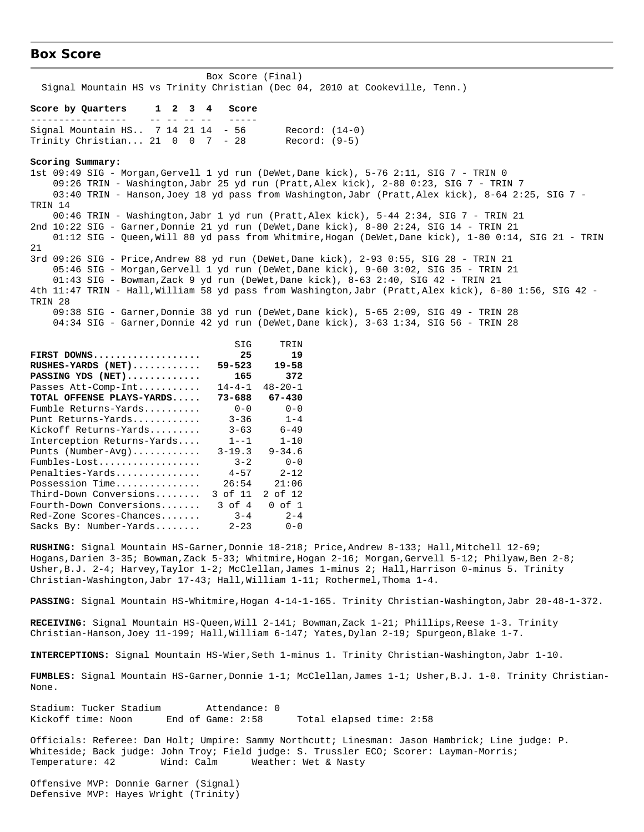#### **Box Score**

 Box Score (Final) Signal Mountain HS vs Trinity Christian (Dec 04, 2010 at Cookeville, Tenn.) **Score by Quarters 1 2 3 4 Score** ----------------- -- -- -- -- ----- Signal Mountain HS.. 7 14 21 14 - 56 Record: (14-0) Trinity Christian... 21 0 0 7 - 28 Record: (9-5) **Scoring Summary:** 1st 09:49 SIG - Morgan,Gervell 1 yd run (DeWet,Dane kick), 5-76 2:11, SIG 7 - TRIN 0 09:26 TRIN - Washington,Jabr 25 yd run (Pratt,Alex kick), 2-80 0:23, SIG 7 - TRIN 7 03:40 TRIN - Hanson,Joey 18 yd pass from Washington,Jabr (Pratt,Alex kick), 8-64 2:25, SIG 7 - TRIN 14 00:46 TRIN - Washington,Jabr 1 yd run (Pratt,Alex kick), 5-44 2:34, SIG 7 - TRIN 21 2nd 10:22 SIG - Garner,Donnie 21 yd run (DeWet,Dane kick), 8-80 2:24, SIG 14 - TRIN 21 01:12 SIG - Queen,Will 80 yd pass from Whitmire,Hogan (DeWet,Dane kick), 1-80 0:14, SIG 21 - TRIN 21 3rd 09:26 SIG - Price,Andrew 88 yd run (DeWet,Dane kick), 2-93 0:55, SIG 28 - TRIN 21 05:46 SIG - Morgan,Gervell 1 yd run (DeWet,Dane kick), 9-60 3:02, SIG 35 - TRIN 21 01:43 SIG - Bowman,Zack 9 yd run (DeWet,Dane kick), 8-63 2:40, SIG 42 - TRIN 21 4th 11:47 TRIN - Hall,William 58 yd pass from Washington,Jabr (Pratt,Alex kick), 6-80 1:56, SIG 42 - TRIN 28 09:38 SIG - Garner,Donnie 38 yd run (DeWet,Dane kick), 5-65 2:09, SIG 49 - TRIN 28 04:34 SIG - Garner,Donnie 42 yd run (DeWet,Dane kick), 3-63 1:34, SIG 56 - TRIN 28 SIG TRIN **FIRST DOWNS................... 25 19 RUSHES-YARDS (NET)............ 59-523 19-58 PASSING YDS (NET)............. 165 372**

| 165          | 372           |
|--------------|---------------|
| $14 - 4 - 1$ | $48 - 20 - 1$ |
| $73 - 688$   | $67 - 430$    |
| $0 - 0$      | $0 - 0$       |
| $3 - 36$     | $1 - 4$       |
| $3 - 63$     | $6 - 49$      |
| $1 - -1$     | $1 - 10$      |
| $3 - 19.3$   | $9 - 34.6$    |
| $3 - 2$      | $0 - 0$       |
| $4 - 57$     | $2 - 12$      |
| 26:54        | 21:06         |
| 3 of 11      | 2 of 12       |
| $3$ of $4$   | $0$ of $1$    |
| $3 - 4$      | $2 - 4$       |
| $2 - 23$     | $0 - 0$       |
|              |               |

**RUSHING:** Signal Mountain HS-Garner,Donnie 18-218; Price,Andrew 8-133; Hall,Mitchell 12-69; Hogans,Darien 3-35; Bowman,Zack 5-33; Whitmire,Hogan 2-16; Morgan,Gervell 5-12; Philyaw,Ben 2-8; Usher,B.J. 2-4; Harvey,Taylor 1-2; McClellan,James 1-minus 2; Hall,Harrison 0-minus 5. Trinity Christian-Washington,Jabr 17-43; Hall,William 1-11; Rothermel,Thoma 1-4.

**PASSING:** Signal Mountain HS-Whitmire,Hogan 4-14-1-165. Trinity Christian-Washington,Jabr 20-48-1-372.

**RECEIVING:** Signal Mountain HS-Queen,Will 2-141; Bowman,Zack 1-21; Phillips,Reese 1-3. Trinity Christian-Hanson,Joey 11-199; Hall,William 6-147; Yates,Dylan 2-19; Spurgeon,Blake 1-7.

**INTERCEPTIONS:** Signal Mountain HS-Wier,Seth 1-minus 1. Trinity Christian-Washington,Jabr 1-10.

**FUMBLES:** Signal Mountain HS-Garner,Donnie 1-1; McClellan,James 1-1; Usher,B.J. 1-0. Trinity Christian-None.

Stadium: Tucker Stadium attendance: 0<br>Kickoff time: Noon End of Game: 2:58 End of Game: 2:58 Total elapsed time: 2:58

Officials: Referee: Dan Holt; Umpire: Sammy Northcutt; Linesman: Jason Hambrick; Line judge: P. Whiteside; Back judge: John Troy; Field judge: S. Trussler ECO; Scorer: Layman-Morris; Temperature: 42 Wind: Calm Weather: Wet & Nasty

Offensive MVP: Donnie Garner (Signal) Defensive MVP: Hayes Wright (Trinity)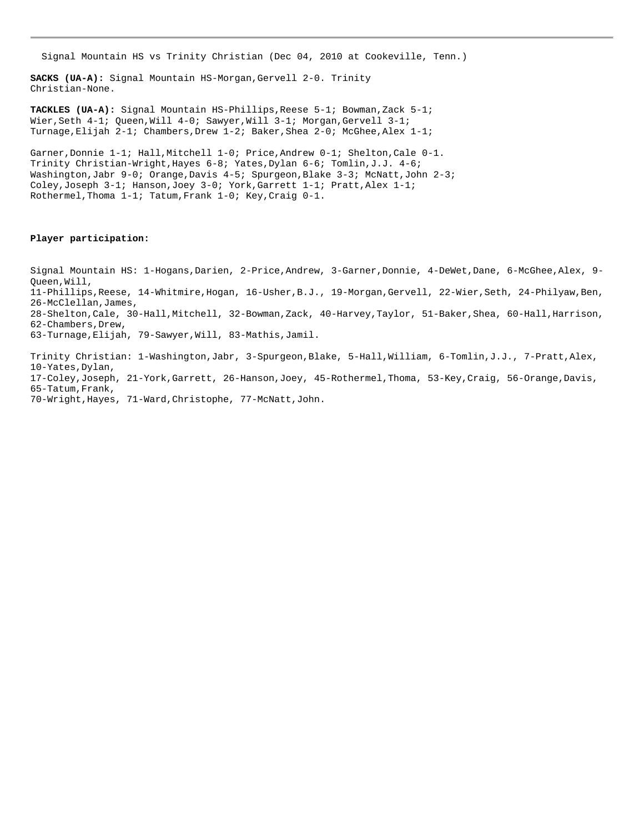Signal Mountain HS vs Trinity Christian (Dec 04, 2010 at Cookeville, Tenn.)

**SACKS (UA-A):** Signal Mountain HS-Morgan,Gervell 2-0. Trinity Christian-None.

**TACKLES (UA-A):** Signal Mountain HS-Phillips,Reese 5-1; Bowman,Zack 5-1; Wier, Seth 4-1; Queen, Will 4-0; Sawyer, Will 3-1; Morgan, Gervell 3-1; Turnage,Elijah 2-1; Chambers,Drew 1-2; Baker,Shea 2-0; McGhee,Alex 1-1;

Garner, Donnie 1-1; Hall, Mitchell 1-0; Price, Andrew 0-1; Shelton, Cale 0-1. Trinity Christian-Wright,Hayes 6-8; Yates,Dylan 6-6; Tomlin,J.J. 4-6; Washington,Jabr 9-0; Orange,Davis 4-5; Spurgeon,Blake 3-3; McNatt,John 2-3; Coley,Joseph 3-1; Hanson,Joey 3-0; York,Garrett 1-1; Pratt,Alex 1-1; Rothermel,Thoma 1-1; Tatum,Frank 1-0; Key,Craig 0-1.

#### **Player participation:**

Signal Mountain HS: 1-Hogans,Darien, 2-Price,Andrew, 3-Garner,Donnie, 4-DeWet,Dane, 6-McGhee,Alex, 9- Queen,Will, 11-Phillips,Reese, 14-Whitmire,Hogan, 16-Usher,B.J., 19-Morgan,Gervell, 22-Wier,Seth, 24-Philyaw,Ben, 26-McClellan,James, 28-Shelton,Cale, 30-Hall,Mitchell, 32-Bowman,Zack, 40-Harvey,Taylor, 51-Baker,Shea, 60-Hall,Harrison, 62-Chambers,Drew, 63-Turnage,Elijah, 79-Sawyer,Will, 83-Mathis,Jamil.

Trinity Christian: 1-Washington,Jabr, 3-Spurgeon,Blake, 5-Hall,William, 6-Tomlin,J.J., 7-Pratt,Alex, 10-Yates,Dylan, 17-Coley,Joseph, 21-York,Garrett, 26-Hanson,Joey, 45-Rothermel,Thoma, 53-Key,Craig, 56-Orange,Davis, 65-Tatum,Frank, 70-Wright,Hayes, 71-Ward,Christophe, 77-McNatt,John.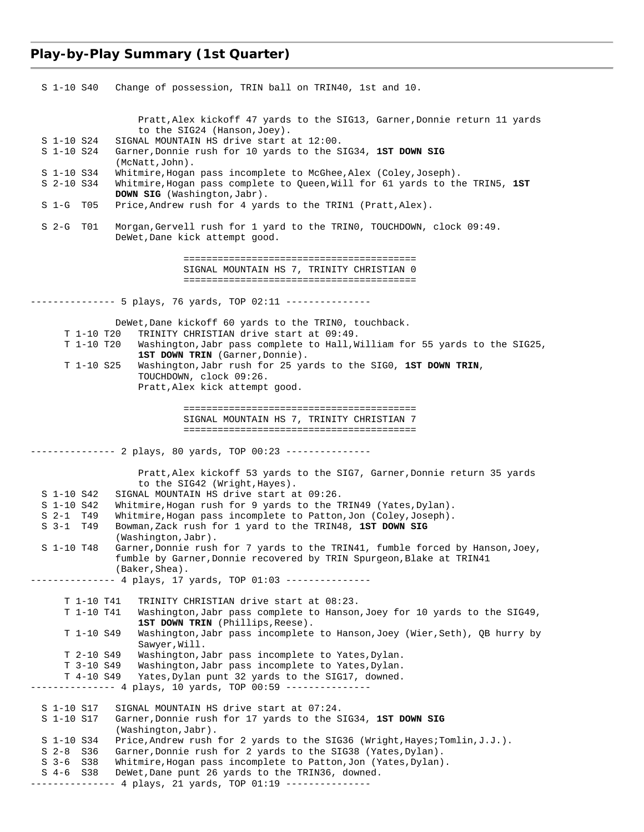# **Play-by-Play Summary (1st Quarter)**

| S 1-10 S40                            | Change of possession, TRIN ball on TRIN40, 1st and 10.                                                                                                                  |
|---------------------------------------|-------------------------------------------------------------------------------------------------------------------------------------------------------------------------|
|                                       |                                                                                                                                                                         |
|                                       | Pratt, Alex kickoff 47 yards to the SIG13, Garner, Donnie return 11 yards                                                                                               |
|                                       | to the SIG24 (Hanson, Joey).                                                                                                                                            |
| S 1-10 S24<br>S 1-10 S24              | SIGNAL MOUNTAIN HS drive start at 12:00.<br>Garner, Donnie rush for 10 yards to the SIG34, 1ST DOWN SIG                                                                 |
|                                       | (McNatt, John).                                                                                                                                                         |
| S 1-10 S34<br>$S$ 2-10 $S34$          | Whitmire, Hogan pass incomplete to McGhee, Alex (Coley, Joseph).<br>Whitmire, Hogan pass complete to Queen, Will for 61 yards to the TRIN5, 1ST                         |
|                                       | <b>DOWN SIG</b> (Washington, Jabr).                                                                                                                                     |
| S 1-G<br>T05                          | Price, Andrew rush for 4 yards to the TRIN1 (Pratt, Alex).                                                                                                              |
| $S2-G$<br>T01                         | Morgan, Gervell rush for 1 yard to the TRINO, TOUCHDOWN, clock 09:49.<br>DeWet, Dane kick attempt good.                                                                 |
|                                       |                                                                                                                                                                         |
|                                       | SIGNAL MOUNTAIN HS 7, TRINITY CHRISTIAN 0                                                                                                                               |
|                                       |                                                                                                                                                                         |
|                                       | --------- 5 plays, 76 yards, TOP 02:11 ---------------                                                                                                                  |
|                                       | DeWet, Dane kickoff 60 yards to the TRINO, touchback.                                                                                                                   |
| T 1-10 T20<br>T 1-10 T20              | TRINITY CHRISTIAN drive start at 09:49.<br>Washington, Jabr pass complete to Hall, William for 55 yards to the SIG25,                                                   |
|                                       | 1ST DOWN TRIN (Garner, Donnie).                                                                                                                                         |
| T 1-10 S25                            | Washington, Jabr rush for 25 yards to the SIGO, 1ST DOWN TRIN,                                                                                                          |
|                                       | TOUCHDOWN, clock 09:26.<br>Pratt, Alex kick attempt good.                                                                                                               |
|                                       |                                                                                                                                                                         |
|                                       | SIGNAL MOUNTAIN HS 7, TRINITY CHRISTIAN 7                                                                                                                               |
|                                       |                                                                                                                                                                         |
|                                       | ------------- 2 plays, 80 yards, TOP 00:23 ---------------                                                                                                              |
|                                       |                                                                                                                                                                         |
|                                       | Pratt, Alex kickoff 53 yards to the SIG7, Garner, Donnie return 35 yards<br>to the SIG42 (Wright, Hayes).                                                               |
| S 1-10 S42                            | SIGNAL MOUNTAIN HS drive start at 09:26.                                                                                                                                |
| S 1-10 S42<br>$S$ 2-1 T <sub>49</sub> | Whitmire, Hogan rush for 9 yards to the TRIN49 (Yates, Dylan).                                                                                                          |
| S 3-1 T49                             | Whitmire, Hogan pass incomplete to Patton, Jon (Coley, Joseph).<br>Bowman, Zack rush for 1 yard to the TRIN48, 1ST DOWN SIG                                             |
|                                       | (Washington, Jabr).                                                                                                                                                     |
| S 1-10 T48                            | Garner, Donnie rush for 7 yards to the TRIN41, fumble forced by Hanson, Joey,<br>fumble by Garner, Donnie recovered by TRIN Spurgeon, Blake at TRIN41<br>(Baker, Shea). |
|                                       | ---- 4 plays, 17 yards, TOP 01:03 ---------------                                                                                                                       |
| T 1-10 T41                            | TRINITY CHRISTIAN drive start at 08:23.                                                                                                                                 |
| T 1-10 T41                            | Washington, Jabr pass complete to Hanson, Joey for 10 yards to the SIG49,                                                                                               |
| T 1-10 S49                            | 1ST DOWN TRIN (Phillips, Reese).<br>Washington, Jabr pass incomplete to Hanson, Joey (Wier, Seth), QB hurry by                                                          |
|                                       | Sawyer, Will.                                                                                                                                                           |
| T 2-10 S49                            | Washington, Jabr pass incomplete to Yates, Dylan.                                                                                                                       |
| T 3-10 S49<br>T 4-10 S49              | Washington, Jabr pass incomplete to Yates, Dylan.<br>Yates, Dylan punt 32 yards to the SIG17, downed.                                                                   |
|                                       | ------------- 4 plays, 10 yards, TOP 00:59 ---------------                                                                                                              |
| S 1-10 S17                            | SIGNAL MOUNTAIN HS drive start at 07:24.                                                                                                                                |
| S 1-10 S17                            | Garner, Donnie rush for 17 yards to the SIG34, 1ST DOWN SIG                                                                                                             |
|                                       | (Washington, Jabr).                                                                                                                                                     |
| S 1-10 S34<br>$S2-8$<br>S36           | Price, Andrew rush for 2 yards to the SIG36 (Wright, Hayes; Tomlin, J.J.).<br>Garner, Donnie rush for 2 yards to the SIG38 (Yates, Dylan).                              |
| $S$ 3-6 $S38$                         | Whitmire, Hogan pass incomplete to Patton, Jon (Yates, Dylan).                                                                                                          |
| $S$ 4-6<br>S38                        | DeWet, Dane punt 26 yards to the TRIN36, downed.                                                                                                                        |
|                                       | --------- 4 plays, 21 yards, TOP 01:19 ---------------                                                                                                                  |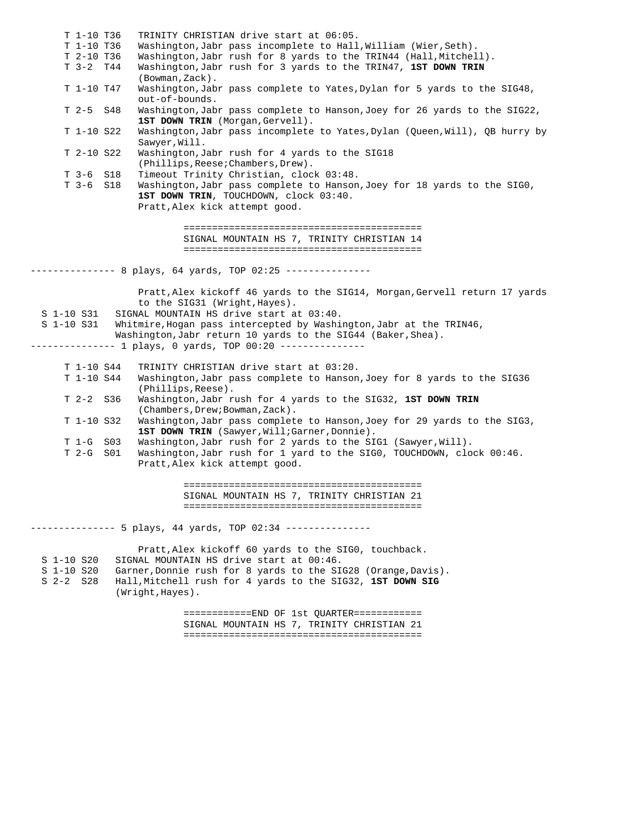T 1-10 T36 TRINITY CHRISTIAN drive start at 06:05. T 1-10 T36 Washington, Jabr pass incomplete to Hall, William (Wier, Seth).<br>T 2-10 T36 Washington, Jabr rush for 8 yards to the TRIN44 (Hall, Mitchel T 2-10 T36 Washington,Jabr rush for 8 yards to the TRIN44 (Hall,Mitchell).<br>T 3-2 T44 Washington,Jabr rush for 3 yards to the TRIN47, 1ST DOWN TRIN Washington, Jabr rush for 3 yards to the TRIN47, 1ST DOWN TRIN (Bowman,Zack). T 1-10 T47 Washington,Jabr pass complete to Yates,Dylan for 5 yards to the SIG48, out-of-bounds. T 2-5 S48 Washington,Jabr pass complete to Hanson,Joey for 26 yards to the SIG22, **1ST DOWN TRIN** (Morgan,Gervell).<br>T 1-10 S22 Washington,Jabr pass incomplete Washington,Jabr pass incomplete to Yates,Dylan (Queen,Will), QB hurry by Sawyer,Will. T 2-10 S22 Washington,Jabr rush for 4 yards to the SIG18 (Phillips, Reese; Chambers, Drew).<br>T 3-6 S18 Timeout Trinity Christian, cloc Timeout Trinity Christian, clock 03:48. T 3-6 S18 Washington,Jabr pass complete to Hanson,Joey for 18 yards to the SIG0, **1ST DOWN TRIN**, TOUCHDOWN, clock 03:40. Pratt,Alex kick attempt good. ========================================== SIGNAL MOUNTAIN HS 7, TRINITY CHRISTIAN 14 ========================================== -------------- 8 plays, 64 yards, TOP 02:25 --------------- Pratt,Alex kickoff 46 yards to the SIG14, Morgan,Gervell return 17 yards to the SIG31 (Wright,Hayes). S 1-10 S31 SIGNAL MOUNTAIN HS drive start at 03:40. S 1-10 S31 Whitmire,Hogan pass intercepted by Washington,Jabr at the TRIN46, Washington, Jabr return 10 yards to the SIG44 (Baker, Shea). -------------- 1 plays, 0 yards, TOP 00:20 --------------- T 1-10 S44 TRINITY CHRISTIAN drive start at 03:20. T 1-10 S44 Washington,Jabr pass complete to Hanson,Joey for 8 yards to the SIG36 (Phillips,Reese). T 2-2 S36 Washington,Jabr rush for 4 yards to the SIG32, **1ST DOWN TRIN** (Chambers,Drew;Bowman,Zack). T 1-10 S32 Washington,Jabr pass complete to Hanson,Joey for 29 yards to the SIG3, 1ST DOWN TRIN (Sawyer, Will; Garner, Donnie). T 1-G S03 Washington,Jabr rush for 2 yards to the SIG1 (Sawyer,Will). T 2-G S01 Washington,Jabr rush for 1 yard to the SIG0, TOUCHDOWN, clock 00:46. Pratt,Alex kick attempt good. ========================================== SIGNAL MOUNTAIN HS 7, TRINITY CHRISTIAN 21 ========================================== -------------- 5 plays, 44 yards, TOP 02:34 --------------- Pratt,Alex kickoff 60 yards to the SIG0, touchback. S 1-10 S20 SIGNAL MOUNTAIN HS drive start at 00:46. S 1-10 S20 Garner,Donnie rush for 8 yards to the SIG28 (Orange,Davis). S 2-2 S28 Hall,Mitchell rush for 4 yards to the SIG32, **1ST DOWN SIG** (Wright,Hayes). ============END OF 1st QUARTER============ SIGNAL MOUNTAIN HS 7, TRINITY CHRISTIAN 21

==========================================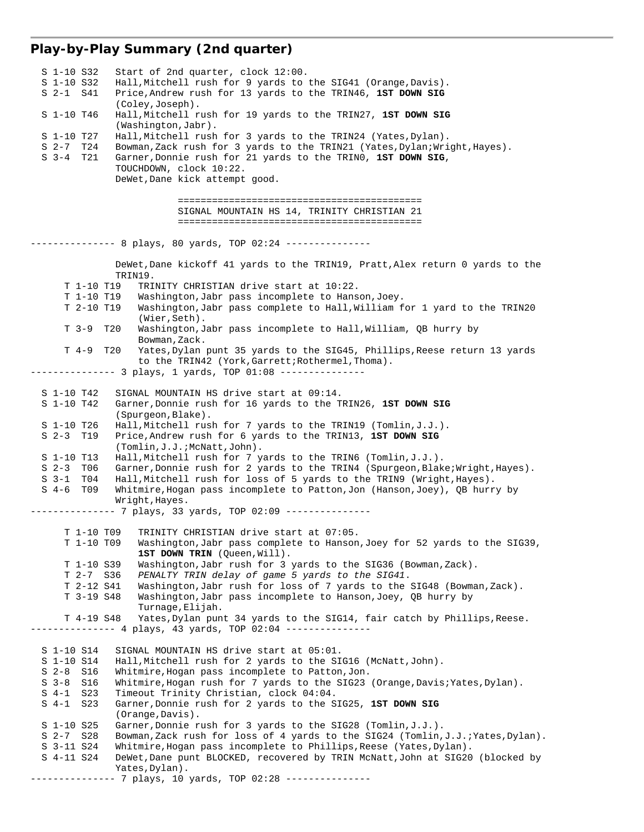# **Play-by-Play Summary (2nd quarter)**

| Start of 2nd quarter, clock 12:00.<br>S 1-10 S32                                                          |
|-----------------------------------------------------------------------------------------------------------|
| S 1-10 S32<br>Hall, Mitchell rush for 9 yards to the SIG41 (Orange, Davis).                               |
| Price, Andrew rush for 13 yards to the TRIN46, 1ST DOWN SIG<br>S 2-1 S41                                  |
| (Coley, Joseph).                                                                                          |
| S 1-10 T46<br>Hall, Mitchell rush for 19 yards to the TRIN27, 1ST DOWN SIG                                |
| $(Washington, Jabr)$ .                                                                                    |
| Hall, Mitchell rush for 3 yards to the TRIN24 (Yates, Dylan).<br>S 1-10 T27                               |
| S 2-7 T24<br>Bowman, Zack rush for 3 yards to the TRIN21 (Yates, Dylan; Wright, Hayes).                   |
| Garner, Donnie rush for 21 yards to the TRINO, 1ST DOWN SIG,<br>S 3-4 T21                                 |
| TOUCHDOWN, clock 10:22.                                                                                   |
| DeWet, Dane kick attempt good.                                                                            |
|                                                                                                           |
|                                                                                                           |
| SIGNAL MOUNTAIN HS 14, TRINITY CHRISTIAN 21                                                               |
|                                                                                                           |
|                                                                                                           |
| ------------- 8 plays, 80 yards, TOP 02:24 ---------------                                                |
|                                                                                                           |
| DeWet, Dane kickoff 41 yards to the TRIN19, Pratt, Alex return 0 yards to the                             |
| TRIN19.                                                                                                   |
| T 1-10 T19<br>TRINITY CHRISTIAN drive start at 10:22.                                                     |
| T 1-10 T19<br>Washington, Jabr pass incomplete to Hanson, Joey.                                           |
| Washington, Jabr pass complete to Hall, William for 1 yard to the TRIN20<br>T 2-10 T19                    |
| (Wier, Seth).                                                                                             |
| T 3-9<br>T20<br>Washington, Jabr pass incomplete to Hall, William, QB hurry by                            |
| Bowman, Zack.                                                                                             |
| $T \quad 4-9$<br>T20<br>Yates, Dylan punt 35 yards to the SIG45, Phillips, Reese return 13 yards          |
| to the TRIN42 (York, Garrett; Rothermel, Thoma).                                                          |
| --------------  3 plays, 1 yards, TOP  01:08 ---------------                                              |
|                                                                                                           |
| S 1-10 T42<br>SIGNAL MOUNTAIN HS drive start at 09:14.                                                    |
| Garner, Donnie rush for 16 yards to the TRIN26, 1ST DOWN SIG<br>S 1-10 T42                                |
| (Spurgeon, Blake).                                                                                        |
| Hall, Mitchell rush for 7 yards to the TRIN19 (Tomlin, $J.J.$ ).<br>S 1-10 T26                            |
| $S2-3$ T19<br>Price, Andrew rush for 6 yards to the TRIN13, 1ST DOWN SIG                                  |
| (Tomlin, J.J.; McNatt, John).                                                                             |
| Hall, Mitchell rush for 7 yards to the TRIN6 (Tomlin, J.J.).<br>S 1-10 T13                                |
| Garner, Donnie rush for 2 yards to the TRIN4 (Spurgeon, Blake; Wright, Hayes).<br>$S2-3$<br>T06           |
| Hall, Mitchell rush for loss of 5 yards to the TRIN9 (Wright, Hayes).<br>S 3-1 T04                        |
| $S$ 4-6<br>T09<br>Whitmire, Hogan pass incomplete to Patton, Jon (Hanson, Joey), QB hurry by              |
|                                                                                                           |
| Wright, Hayes.<br>--------------         7 plays, 33 yards, TOP 02:09 --------------                      |
|                                                                                                           |
| T 1-10 T09<br>TRINITY CHRISTIAN drive start at 07:05.                                                     |
| T 1-10 T09                                                                                                |
| Washington, Jabr pass complete to Hanson, Joey for 52 yards to the SIG39,<br>1ST DOWN TRIN (Queen, Will). |
| T 1-10 S39<br>Washington, Jabr rush for 3 yards to the SIG36 (Bowman, Zack).                              |
| T 2-7 S36<br>PENALTY TRIN delay of game 5 yards to the SIG41.                                             |
| T 2-12 S41<br>Washington, Jabr rush for loss of 7 yards to the SIG48 (Bowman, Zack).                      |
| T 3-19 S48<br>Washington, Jabr pass incomplete to Hanson, Joey, QB hurry by                               |
| Turnage, Elijah.                                                                                          |
| Yates, Dylan punt 34 yards to the SIG14, fair catch by Phillips, Reese.                                   |
| T 4-19 S48<br>-------------    4 plays, 43 yards, TOP 02:04 ---------------                               |
|                                                                                                           |
| S 1-10 S14<br>SIGNAL MOUNTAIN HS drive start at 05:01.                                                    |
| S 1-10 S14<br>Hall, Mitchell rush for 2 yards to the SIG16 (McNatt, John).                                |
| Whitmire, Hogan pass incomplete to Patton, Jon.<br>$S2-8$<br>S16                                          |
| $S3-8$<br>S16<br>Whitmire, Hogan rush for 7 yards to the SIG23 (Orange, Davis; Yates, Dylan).             |
| S 4-1 S 23<br>Timeout Trinity Christian, clock 04:04.                                                     |
| S 4-1<br>S23<br>Garner, Donnie rush for 2 yards to the SIG25, 1ST DOWN SIG                                |
| (Orange, Davis).                                                                                          |
| Garner, Donnie rush for 3 yards to the SIG28 (Tomlin, J.J.).<br>S 1-10 S25                                |
| $S$ 2-7 $S$ 28<br>Bowman, Zack rush for loss of 4 yards to the SIG24 (Tomlin, J.J.; Yates, Dylan).        |
| S 3-11 S24<br>Whitmire, Hogan pass incomplete to Phillips, Reese (Yates, Dylan).                          |
| S 4-11 S24<br>DeWet, Dane punt BLOCKED, recovered by TRIN McNatt, John at SIG20 (blocked by               |
|                                                                                                           |
| Yates, Dylan).<br>-- 7 plays, 10 yards, TOP 02:28 ---------------                                         |
|                                                                                                           |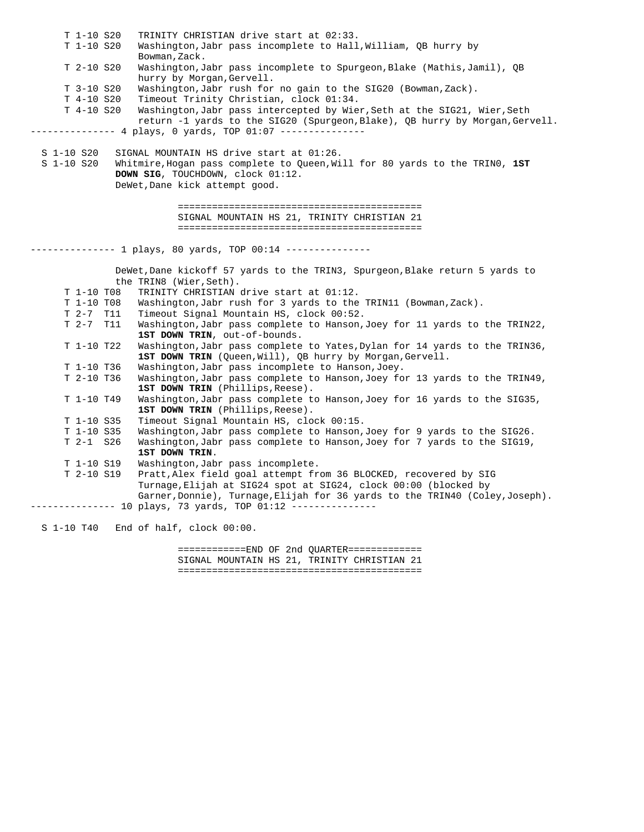T 1-10 S20 TRINITY CHRISTIAN drive start at 02:33. T 1-10 S20 Washington,Jabr pass incomplete to Hall,William, QB hurry by Bowman, Zack. T 2-10 S20 Washington,Jabr pass incomplete to Spurgeon,Blake (Mathis,Jamil), QB hurry by Morgan,Gervell. T 3-10 S20 Washington,Jabr rush for no gain to the SIG20 (Bowman,Zack). T 4-10 S20 Timeout Trinity Christian, clock 01:34. T 4-10 S20 Washington,Jabr pass intercepted by Wier,Seth at the SIG21, Wier,Seth return -1 yards to the SIG20 (Spurgeon,Blake), QB hurry by Morgan,Gervell. -------------- 4 plays, 0 yards, TOP 01:07 --------------- S 1-10 S20 SIGNAL MOUNTAIN HS drive start at 01:26. S 1-10 S20 Whitmire,Hogan pass complete to Queen,Will for 80 yards to the TRIN0, **1ST DOWN SIG**, TOUCHDOWN, clock 01:12. DeWet,Dane kick attempt good. =========================================== SIGNAL MOUNTAIN HS 21, TRINITY CHRISTIAN 21 =========================================== -------------- 1 plays, 80 yards, TOP 00:14 --------------- DeWet,Dane kickoff 57 yards to the TRIN3, Spurgeon,Blake return 5 yards to the TRIN8 (Wier,Seth). T 1-10 T08 TRINITY CHRISTIAN drive start at 01:12. T 1-10 T08 Washington,Jabr rush for 3 yards to the TRIN11 (Bowman,Zack). T 2-7 T11 Timeout Signal Mountain HS, clock 00:52. Washington,Jabr pass complete to Hanson,Joey for 11 yards to the TRIN22, **1ST DOWN TRIN**, out-of-bounds. T 1-10 T22 Washington,Jabr pass complete to Yates,Dylan for 14 yards to the TRIN36, 1ST DOWN TRIN (Queen, Will), QB hurry by Morgan, Gervell. T 1-10 T36 Washington,Jabr pass incomplete to Hanson,Joey. T 2-10 T36 Washington,Jabr pass complete to Hanson,Joey for 13 yards to the TRIN49, 1ST DOWN TRIN (Phillips, Reese). T 1-10 T49 Washington,Jabr pass complete to Hanson,Joey for 16 yards to the SIG35, **1ST DOWN TRIN** (Phillips,Reese). T 1-10 S35 Timeout Signal Mountain HS, clock 00:15. T 1-10 S35 Washington,Jabr pass complete to Hanson,Joey for 9 yards to the SIG26. T 2-1 S26 Washington,Jabr pass complete to Hanson,Joey for 7 yards to the SIG19, **1ST DOWN TRIN**. T 1-10 S19 Washington,Jabr pass incomplete. T 2-10 S19 Pratt,Alex field goal attempt from 36 BLOCKED, recovered by SIG Turnage,Elijah at SIG24 spot at SIG24, clock 00:00 (blocked by Garner,Donnie), Turnage,Elijah for 36 yards to the TRIN40 (Coley,Joseph). --------------- 10 plays, 73 yards, TOP 01:12 --------------- S 1-10 T40 End of half, clock 00:00.

> ============END OF 2nd QUARTER============= SIGNAL MOUNTAIN HS 21, TRINITY CHRISTIAN 21 ===========================================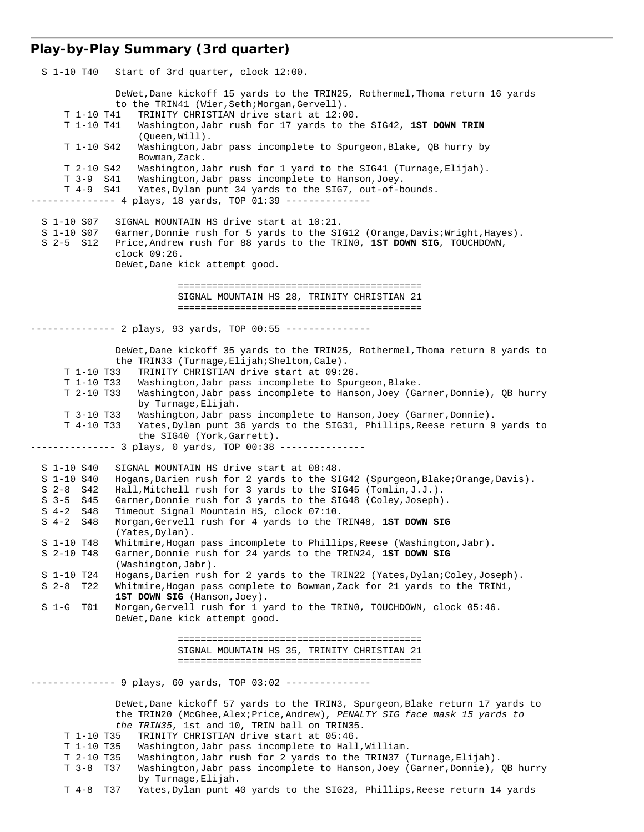# **Play-by-Play Summary (3rd quarter)**

| S 1-10 T40<br>Start of 3rd quarter, clock 12:00.                                                                                                                                                                                                                                                                                                                                                                                                                                                                                                                                                                                                                                                                                                                                                                                                                                                                                                                                                                                                   |
|----------------------------------------------------------------------------------------------------------------------------------------------------------------------------------------------------------------------------------------------------------------------------------------------------------------------------------------------------------------------------------------------------------------------------------------------------------------------------------------------------------------------------------------------------------------------------------------------------------------------------------------------------------------------------------------------------------------------------------------------------------------------------------------------------------------------------------------------------------------------------------------------------------------------------------------------------------------------------------------------------------------------------------------------------|
| DeWet, Dane kickoff 15 yards to the TRIN25, Rothermel, Thoma return 16 yards<br>to the TRIN41 (Wier, Seth; Morgan, Gervell).<br>TRINITY CHRISTIAN drive start at 12:00.<br>T 1-10 T41<br>T 1-10 T41<br>Washington, Jabr rush for 17 yards to the SIG42, 1ST DOWN TRIN<br>(Oneen, Will).<br>Washington, Jabr pass incomplete to Spurgeon, Blake, QB hurry by<br>T 1-10 S42<br>Bowman, Zack.<br>Washington, Jabr rush for 1 yard to the SIG41 (Turnage, Elijah).<br>T 2-10 S42<br>Washington, Jabr pass incomplete to Hanson, Joey.<br>T 3-9 S41<br>Yates, Dylan punt 34 yards to the SIG7, out-of-bounds.<br>T 4-9 S41<br>------- 4 plays, 18 yards, TOP 01:39 ---------------                                                                                                                                                                                                                                                                                                                                                                      |
| S 1-10 S07<br>SIGNAL MOUNTAIN HS drive start at 10:21.<br>S 1-10 S07<br>Garner, Donnie rush for 5 yards to the SIG12 (Orange, Davis; Wright, Hayes).<br>S 2-5 S12<br>Price, Andrew rush for 88 yards to the TRINO, 1ST DOWN SIG, TOUCHDOWN,<br>$clock$ $09:26$ .<br>DeWet, Dane kick attempt good.                                                                                                                                                                                                                                                                                                                                                                                                                                                                                                                                                                                                                                                                                                                                                 |
| SIGNAL MOUNTAIN HS 28, TRINITY CHRISTIAN 21                                                                                                                                                                                                                                                                                                                                                                                                                                                                                                                                                                                                                                                                                                                                                                                                                                                                                                                                                                                                        |
|                                                                                                                                                                                                                                                                                                                                                                                                                                                                                                                                                                                                                                                                                                                                                                                                                                                                                                                                                                                                                                                    |
| ---------- 2 plays, 93 yards, TOP 00:55 ---------------                                                                                                                                                                                                                                                                                                                                                                                                                                                                                                                                                                                                                                                                                                                                                                                                                                                                                                                                                                                            |
| DeWet, Dane kickoff 35 yards to the TRIN25, Rothermel, Thoma return 8 yards to<br>the TRIN33 (Turnage, Elijah; Shelton, Cale).<br>TRINITY CHRISTIAN drive start at 09:26.<br>T 1-10 T33<br>T 1-10 T33<br>Washington, Jabr pass incomplete to Spurgeon, Blake.<br>T 2-10 T33<br>Washington, Jabr pass incomplete to Hanson, Joey (Garner, Donnie), QB hurry<br>by Turnage, Elijah.<br>T 3-10 T33<br>Washington, Jabr pass incomplete to Hanson, Joey (Garner, Donnie).<br>T 4-10 T33<br>Yates, Dylan punt 36 yards to the SIG31, Phillips, Reese return 9 yards to<br>the SIG40 (York, Garrett).<br>------------- 3 plays, 0 yards, TOP 00:38 --------------                                                                                                                                                                                                                                                                                                                                                                                        |
| SIGNAL MOUNTAIN HS drive start at 08:48.<br>S 1-10 S40<br>Hogans, Darien rush for 2 yards to the SIG42 (Spurgeon, Blake; Orange, Davis).<br>S 1-10 S40<br>Hall, Mitchell rush for 3 yards to the SIG45 (Tomlin, J.J.).<br>$S$ 2-8 $S$ 42<br>Garner, Donnie rush for 3 yards to the SIG48 (Coley, Joseph).<br>$S$ 3-5 $S$ 45<br>Timeout Signal Mountain HS, clock 07:10.<br>$S$ 4-2 $S$ 48<br>$S$ 4-2 $S48$<br>Morgan, Gervell rush for 4 yards to the TRIN48, 1ST DOWN SIG<br>(Yates, Dylan).<br>Whitmire, Hogan pass incomplete to Phillips, Reese (Washington, Jabr).<br>S 1-10 T48<br>S 2-10 T48<br>Garner, Donnie rush for 24 yards to the TRIN24, 1ST DOWN SIG<br>(Washington, Jabr).<br>S 1-10 T24<br>Hogans, Darien rush for 2 yards to the TRIN22 (Yates, Dylan; Coley, Joseph).<br>$S2-8$<br>T22<br>Whitmire, Hogan pass complete to Bowman, Zack for 21 yards to the TRIN1,<br>1ST DOWN SIG (Hanson, Joey).<br>$S$ 1-G<br>Morgan, Gervell rush for 1 yard to the TRINO, TOUCHDOWN, clock 05:46.<br>T01<br>DeWet, Dane kick attempt good. |
| SIGNAL MOUNTAIN HS 35, TRINITY CHRISTIAN 21                                                                                                                                                                                                                                                                                                                                                                                                                                                                                                                                                                                                                                                                                                                                                                                                                                                                                                                                                                                                        |
|                                                                                                                                                                                                                                                                                                                                                                                                                                                                                                                                                                                                                                                                                                                                                                                                                                                                                                                                                                                                                                                    |
| --------- 9 plays, 60 yards, TOP 03:02 ---------------                                                                                                                                                                                                                                                                                                                                                                                                                                                                                                                                                                                                                                                                                                                                                                                                                                                                                                                                                                                             |
| DeWet, Dane kickoff 57 yards to the TRIN3, Spurgeon, Blake return 17 yards to<br>the TRIN20 (McGhee, Alex; Price, Andrew), PENALTY SIG face mask 15 yards to<br>the TRIN35, 1st and 10, TRIN ball on TRIN35.<br>TRINITY CHRISTIAN drive start at 05:46.<br>T 1-10 T35<br>Washington, Jabr pass incomplete to Hall, William.<br>T 1-10 T35<br>Washington, Jabr rush for 2 yards to the TRIN37 (Turnage, Elijah).<br>T 2-10 T35<br>Washington, Jabr pass incomplete to Hanson, Joey (Garner, Donnie), QB hurry<br>$T$ 3-8 $T$ 37<br>by Turnage, Elijah.                                                                                                                                                                                                                                                                                                                                                                                                                                                                                              |

T 4-8 T37 Yates,Dylan punt 40 yards to the SIG23, Phillips,Reese return 14 yards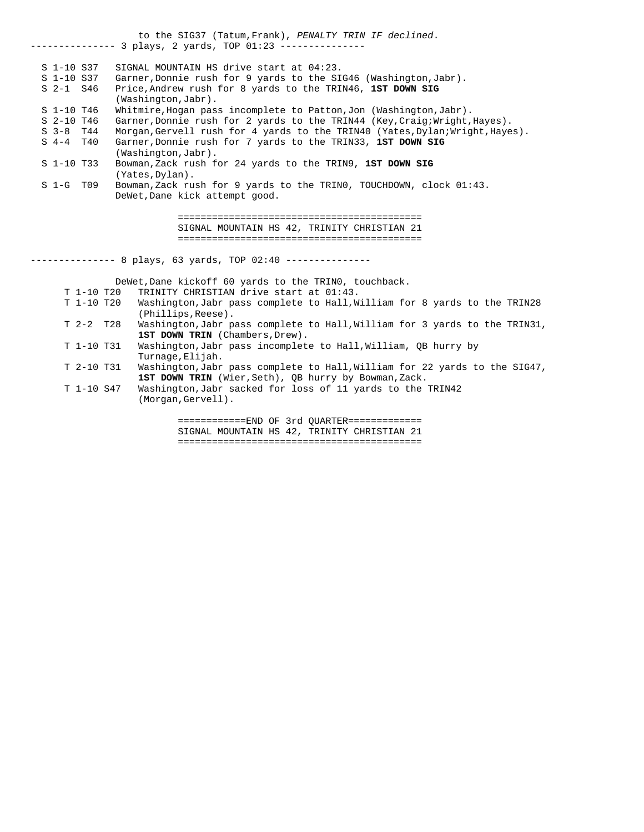to the SIG37 (Tatum,Frank), *PENALTY TRIN IF declined*. -------------- 3 plays, 2 yards, TOP 01:23 --------------- S 1-10 S37 SIGNAL MOUNTAIN HS drive start at 04:23. S 1-10 S37 Garner,Donnie rush for 9 yards to the SIG46 (Washington,Jabr). S 2-1 S46 Price,Andrew rush for 8 yards to the TRIN46, **1ST DOWN SIG** (Washington,Jabr). S 1-10 T46 Whitmire,Hogan pass incomplete to Patton,Jon (Washington,Jabr). S 2-10 T46 Garner, Donnie rush for 2 yards to the TRIN44 (Key, Craig; Wright, Hayes). S 3-8 T44 Morgan, Gervell rush for 4 yards to the TRIN40 (Yates, Dylan; Wright, Hayes). S 4-4 T40 Garner,Donnie rush for 7 yards to the TRIN33, **1ST DOWN SIG** (Washington,Jabr). S 1-10 T33 Bowman,Zack rush for 24 yards to the TRIN9, **1ST DOWN SIG** (Yates,Dylan). S 1-G T09 Bowman,Zack rush for 9 yards to the TRIN0, TOUCHDOWN, clock 01:43. DeWet,Dane kick attempt good.

> =========================================== SIGNAL MOUNTAIN HS 42, TRINITY CHRISTIAN 21 ===========================================

-------------- 8 plays, 63 yards, TOP 02:40 ---------------

DeWet,Dane kickoff 60 yards to the TRINO, touchback.<br>T 1-10 T20 TRINITY CHRISTIAN drive start at 01:43.

- TRINITY CHRISTIAN drive start at 01:43.
- T 1-10 T20 Washington,Jabr pass complete to Hall,William for 8 yards to the TRIN28 (Phillips,Reese).
- T 2-2 T28 Washington,Jabr pass complete to Hall,William for 3 yards to the TRIN31, 1ST DOWN TRIN (Chambers, Drew).
- T 1-10 T31 Washington,Jabr pass incomplete to Hall,William, QB hurry by Turnage,Elijah.
- T 2-10 T31 Washington,Jabr pass complete to Hall,William for 22 yards to the SIG47, 1ST DOWN TRIN (Wier, Seth), QB hurry by Bowman, Zack.
- T 1-10 S47 Washington,Jabr sacked for loss of 11 yards to the TRIN42 (Morgan,Gervell).

 ============END OF 3rd QUARTER============= SIGNAL MOUNTAIN HS 42, TRINITY CHRISTIAN 21 ===========================================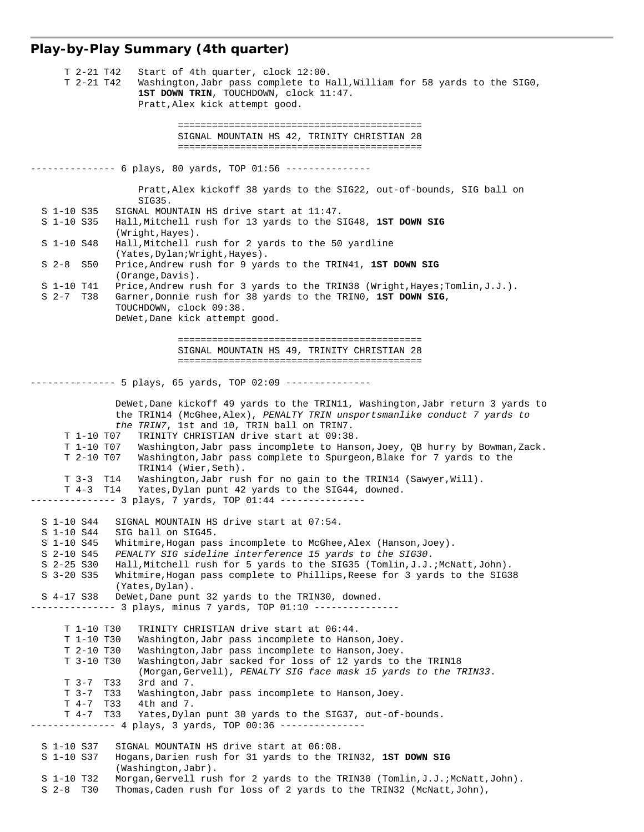# **Play-by-Play Summary (4th quarter)**

| T 2-21 T42<br>Start of 4th quarter, clock 12:00.<br>T 2-21 T42<br>Washington, Jabr pass complete to Hall, William for 58 yards to the SIGO,                            |
|------------------------------------------------------------------------------------------------------------------------------------------------------------------------|
| 1ST DOWN TRIN, TOUCHDOWN, clock 11:47.                                                                                                                                 |
| Pratt, Alex kick attempt good.                                                                                                                                         |
|                                                                                                                                                                        |
| SIGNAL MOUNTAIN HS 42, TRINITY CHRISTIAN 28                                                                                                                            |
|                                                                                                                                                                        |
| ------------ 6 plays, 80 yards, TOP 01:56 ---------------                                                                                                              |
| Pratt, Alex kickoff 38 yards to the SIG22, out-of-bounds, SIG ball on<br>SIG35.                                                                                        |
| S 1-10 S35<br>SIGNAL MOUNTAIN HS drive start at 11:47.<br>S 1-10 S35<br>Hall, Mitchell rush for 13 yards to the SIG48, 1ST DOWN SIG                                    |
| (Wright, Hayes).<br>S 1-10 S48<br>Hall, Mitchell rush for 2 yards to the 50 yardline                                                                                   |
| (Yates, Dylan; Wright, Hayes).                                                                                                                                         |
| $S2-8$<br>S50<br>Price, Andrew rush for 9 yards to the TRIN41, 1ST DOWN SIG<br>(Orange, Davis).                                                                        |
| S 1-10 T41<br>Price, Andrew rush for 3 yards to the TRIN38 (Wright, Hayes; Tomlin, $J.J.$ ).                                                                           |
| $S$ 2-7 T38<br>Garner, Donnie rush for 38 yards to the TRINO, 1ST DOWN SIG,<br>TOUCHDOWN, clock 09:38.                                                                 |
| DeWet, Dane kick attempt good.                                                                                                                                         |
|                                                                                                                                                                        |
| SIGNAL MOUNTAIN HS 49, TRINITY CHRISTIAN 28                                                                                                                            |
|                                                                                                                                                                        |
| ----------- 5 plays, 65 yards, TOP 02:09 ---------------                                                                                                               |
| DeWet, Dane kickoff 49 yards to the TRIN11, Washington, Jabr return 3 yards to                                                                                         |
| the TRIN14 (McGhee, Alex), PENALTY TRIN unsportsmanlike conduct 7 yards to<br>the TRIN7, 1st and 10, TRIN ball on TRIN7.                                               |
| TRINITY CHRISTIAN drive start at 09:38.<br>T 1-10 T07                                                                                                                  |
| T 1-10 TO7<br>Washington, Jabr pass incomplete to Hanson, Joey, QB hurry by Bowman, Zack.                                                                              |
| Washington, Jabr pass complete to Spurgeon, Blake for 7 yards to the<br>T 2-10 T07<br>TRIN14 (Wier, Seth).                                                             |
| Washington, Jabr rush for no gain to the TRIN14 (Sawyer, Will).<br>T 3-3 T14                                                                                           |
| T 4-3 T14<br>Yates, Dylan punt 42 yards to the SIG44, downed.<br>-------- 3 plays, 7 yards, TOP 01:44 ---------------                                                  |
|                                                                                                                                                                        |
| SIGNAL MOUNTAIN HS drive start at 07:54.<br>S 1-10 S44<br>S 1-10 S44<br>SIG ball on SIG45.                                                                             |
| S 1-10 S45<br>Whitmire, Hogan pass incomplete to McGhee, Alex (Hanson, Joey).                                                                                          |
| S 2-10 S45<br>PENALTY SIG sideline interference 15 yards to the SIG30.<br>$S$ 2-25 $S30$                                                                               |
| Hall, Mitchell rush for 5 yards to the SIG35 (Tomlin, J.J.; McNatt, John).<br>Whitmire, Hogan pass complete to Phillips, Reese for 3 yards to the SIG38<br>$S3-20 S35$ |
| (Yates, Dylan).                                                                                                                                                        |
| S 4-17 S38<br>DeWet, Dane punt 32 yards to the TRIN30, downed.<br>----------- 3 plays, minus 7 yards, TOP 01:10 ---------------                                        |
|                                                                                                                                                                        |
| T 1-10 T30<br>TRINITY CHRISTIAN drive start at 06:44.<br>T 1-10 T30<br>Washington, Jabr pass incomplete to Hanson, Joey.                                               |
| T 2-10 T30<br>Washington, Jabr pass incomplete to Hanson, Joey.                                                                                                        |
| Washington, Jabr sacked for loss of 12 yards to the TRIN18<br>T 3-10 T30                                                                                               |
| (Morgan, Gervell), PENALTY SIG face mask 15 yards to the TRIN33.<br>T 3-7 T33<br>$3rd$ and $7.$                                                                        |
| T33<br>$T-3-7$<br>Washington, Jabr pass incomplete to Hanson, Joey.                                                                                                    |
| T33<br>4th and 7.<br>$T \quad 4-7$<br>$T \quad 4-7$<br>T33<br>Yates, Dylan punt 30 yards to the SIG37, out-of-bounds.                                                  |
| ----------- 4 plays, 3 yards, TOP 00:36 ---------------                                                                                                                |
| SIGNAL MOUNTAIN HS drive start at 06:08.<br>S 1-10 S37                                                                                                                 |
| Hogans, Darien rush for 31 yards to the TRIN32, 1ST DOWN SIG<br>S 1-10 S37                                                                                             |
| (Washington, Jabr).<br>Morgan, Gervell rush for 2 yards to the TRIN30 (Tomlin, J.J. ; McNatt, John).<br>S 1-10 T32                                                     |
| $S$ 2-8 T30<br>Thomas, Caden rush for loss of 2 yards to the TRIN32 (McNatt, John),                                                                                    |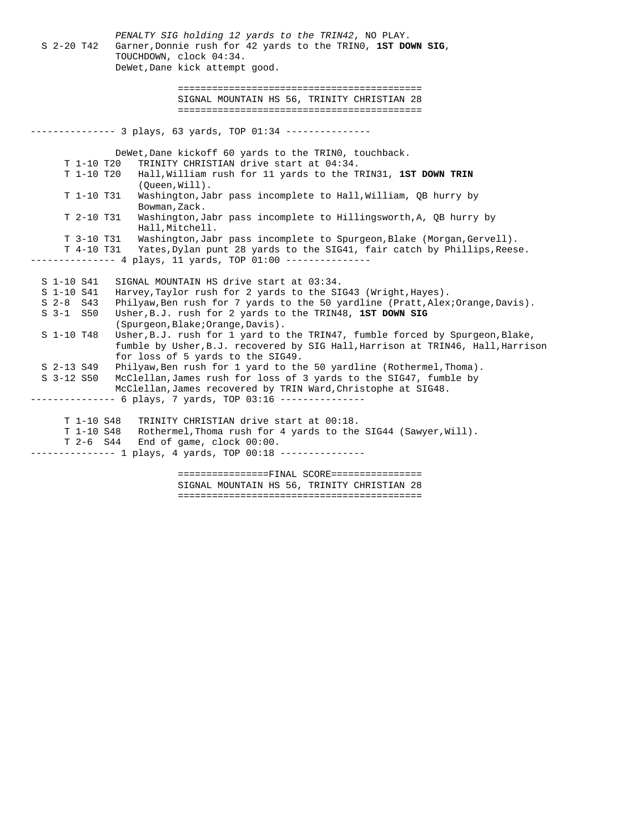*PENALTY SIG holding 12 yards to the TRIN42*, NO PLAY. S 2-20 T42 Garner,Donnie rush for 42 yards to the TRIN0, **1ST DOWN SIG**, TOUCHDOWN, clock 04:34. DeWet,Dane kick attempt good. =========================================== SIGNAL MOUNTAIN HS 56, TRINITY CHRISTIAN 28 =========================================== -------------- 3 plays, 63 yards, TOP 01:34 --------------- DeWet,Dane kickoff 60 yards to the TRIN0, touchback. T 1-10 T20 TRINITY CHRISTIAN drive start at 04:34. Hall, William rush for 11 yards to the TRIN31, 1ST DOWN TRIN (Queen,Will). T 1-10 T31 Washington,Jabr pass incomplete to Hall,William, QB hurry by Bowman,Zack. T 2-10 T31 Washington,Jabr pass incomplete to Hillingsworth,A, QB hurry by Hall,Mitchell. T 3-10 T31 Washington,Jabr pass incomplete to Spurgeon,Blake (Morgan,Gervell). T 4-10 T31 Yates,Dylan punt 28 yards to the SIG41, fair catch by Phillips,Reese. -------------- 4 plays, 11 yards, TOP 01:00 ------------- S 1-10 S41 SIGNAL MOUNTAIN HS drive start at 03:34. S 1-10 S41 Harvey,Taylor rush for 2 yards to the SIG43 (Wright,Hayes). S 2-8 S43 Philyaw,Ben rush for 7 yards to the 50 yardline (Pratt,Alex;Orange,Davis). S 3-1 S50 Usher,B.J. rush for 2 yards to the TRIN48, **1ST DOWN SIG** (Spurgeon,Blake;Orange,Davis). S 1-10 T48 Usher,B.J. rush for 1 yard to the TRIN47, fumble forced by Spurgeon,Blake, fumble by Usher,B.J. recovered by SIG Hall,Harrison at TRIN46, Hall,Harrison for loss of 5 yards to the SIG49. S 2-13 S49 Philyaw,Ben rush for 1 yard to the 50 yardline (Rothermel,Thoma). S 3-12 S50 McClellan,James rush for loss of 3 yards to the SIG47, fumble by McClellan,James recovered by TRIN Ward,Christophe at SIG48. -------------- 6 plays, 7 yards, TOP 03:16 --------------- T 1-10 S48 TRINITY CHRISTIAN drive start at 00:18. T 1-10 S48 Rothermel, Thoma rush for 4 yards to the SIG44 (Sawyer, Will). T 2-6 S44 End of game, clock 00:00. -------------- 1 plays, 4 yards, TOP 00:18 ---------------================FINAL SCORE================

 SIGNAL MOUNTAIN HS 56, TRINITY CHRISTIAN 28 ===========================================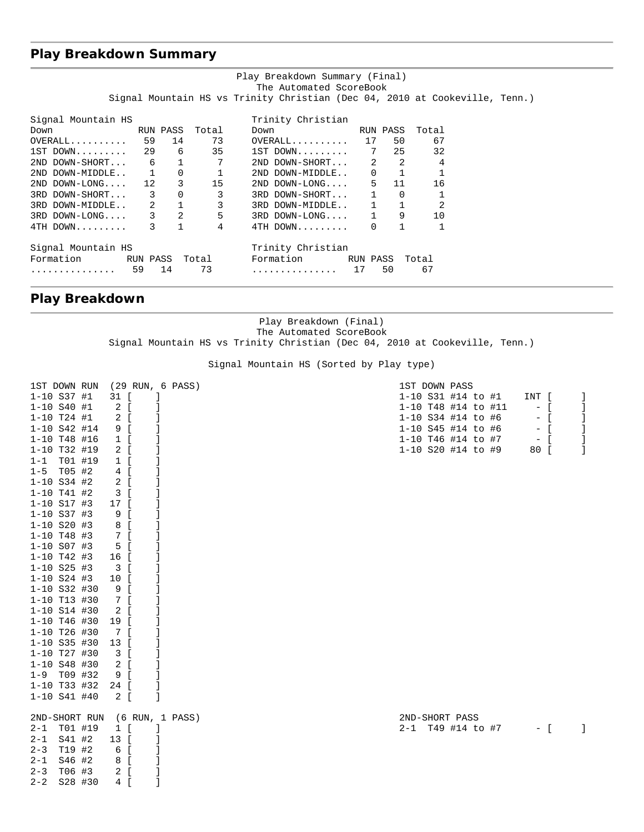# **Play Breakdown Summary**

| Play Breakdown Summary (Final)<br>The Automated ScoreBook |          |          |                         |                                                                             |          |              |       |  |  |
|-----------------------------------------------------------|----------|----------|-------------------------|-----------------------------------------------------------------------------|----------|--------------|-------|--|--|
|                                                           |          |          |                         | Signal Mountain HS vs Trinity Christian (Dec 04, 2010 at Cookeville, Tenn.) |          |              |       |  |  |
| Signal Mountain HS                                        |          |          |                         | Trinity Christian                                                           |          |              |       |  |  |
| Down<br>RUN PASS                                          |          |          | Total                   | Down                                                                        |          | RUN PASS     | Total |  |  |
| OVERALL 59                                                |          | 14       | 73                      | $OVERALL$ 17                                                                |          | 50           | 67    |  |  |
| $1ST$ DOWN 29 6 35                                        |          |          |                         | 1ST DOWN 7 25 32                                                            |          |              |       |  |  |
| $2ND$ DOWN-SHORT 6 1 7                                    |          |          |                         | $2ND$ DOWN-SHORT $2$ 2                                                      |          |              | 4     |  |  |
| 2ND DOWN-MIDDLE $1$ 0 1                                   |          |          |                         | $2ND DOWN-MIDDLE. . 0 1 1$                                                  |          |              |       |  |  |
| 2ND DOWN-LONG 12 3 15                                     |          |          |                         | 2ND DOWN-LONG 5 11 16                                                       |          |              |       |  |  |
| 3RD DOWN-SHORT 3                                          |          |          | 3                       | 3RD DOWN-SHORT 1                                                            |          | $\Omega$     |       |  |  |
| 3RD DOWN-MIDDLE 2 1                                       |          |          | $\overline{\mathbf{3}}$ | 3RD DOWN-MIDDLE 1 1                                                         |          |              | 2     |  |  |
| $3RD$ DOWN-LONG $3$ 2                                     |          |          | 5                       | $3RD$ $DOWN-LONG 1$ 9                                                       |          |              | 10    |  |  |
| $4TH$ DOWN 3                                              |          | $\sim$ 1 | $\overline{4}$          | $4TH$ DOWN 0                                                                |          | $\mathbf{1}$ |       |  |  |
| Signal Mountain HS                                        |          |          |                         | Trinity Christian                                                           |          |              |       |  |  |
| Formation                                                 | RUN PASS |          | Total                   | Formation                                                                   | RUN PASS |              | Total |  |  |
| .                                                         | 59       | 14       | 73                      | . 17                                                                        |          | 50           | 67    |  |  |

## **Play Breakdown**

Play Breakdown (Final) The Automated ScoreBook Signal Mountain HS vs Trinity Christian (Dec 04, 2010 at Cookeville, Tenn.)

Signal Mountain HS (Sorted by Play type)

| $1 - 10$ S37 #1<br>31 [<br>$1-10$ S31 #14 to #1<br>INT [<br>$\perp$<br>$1 - 10 S40 #1$<br>2 [<br>1<br>1-10 T48 #14 to #11<br>$-$ [<br>-1<br>1-10 S34 #14 to #6<br>$1 - 10$ T24 #1<br>2 [<br>$-$ [<br>-1<br>$1 - 10$ S42 #14<br>9 [<br>1-10 S45 #14 to #6<br>$-$ [<br>1-10 T46 #14 to #7<br>1<br>$1 - 10$ T48 #16<br>$1 \left[ \right]$<br>$-$ [<br>1-10 S20 #14 to #9<br>-1<br>$1 - 10$ T32 #19<br>2 [<br>80 [<br>$1 - 1$ TO1 #19<br>$1 \quad$ [<br>1<br>$1-5$ T05 #2<br>4 [<br>1<br>$1 - 10$ S34 #2<br>2 [<br>J<br>$1 - 10$ T41 #2<br>3 [<br>J<br>$1 - 10$ S17 #3<br>J<br>17 [<br>$1 - 10$ S37 #3<br>9<br>$\overline{1}$<br>1<br>$1 - 10$ S20 #3<br>J<br>8 [<br>$1 - 10$ T48 #3<br>J<br>7 [<br>$1 - 10$ S07 #3<br>5 [<br>$1 - 10$ T42 #3<br>16 [<br>$1 - 10$ S25 #3<br>3 [<br>$1 - 10 S24 #3$<br>10 [<br>$1 - 10$ S32 #30<br>9 [<br>$1 - 10$ T13 #30<br>7 [<br>$1 - 10$ S14 #30<br>2 [<br>$1 - 10$ T46 #30<br>19 [<br>1-10 T26 #30<br>7 [<br>$1 - 10$ S35 #30<br>13 [<br>$1 - 10$ T27 #30<br>3 [<br>$1 - 10$ S48 #30<br>$2 \left[ \right]$<br>1<br>9 [<br>$1 - 9$ T09 #32<br>1<br>$1 - 10$ T33 #32<br>24 [<br>1<br>$1 - 10$ S41 #40<br>2 [<br>2ND-SHORT RUN<br>(6 RUN, 1 PASS)<br>2ND-SHORT PASS<br>$2 - 1$ TO1 #19<br>$1 \left[ \right]$<br>2-1 T49 #14 to #7<br>$-$ [<br>$\overline{1}$<br>S41 #2<br>13 [<br>$2 - 1$ |
|-------------------------------------------------------------------------------------------------------------------------------------------------------------------------------------------------------------------------------------------------------------------------------------------------------------------------------------------------------------------------------------------------------------------------------------------------------------------------------------------------------------------------------------------------------------------------------------------------------------------------------------------------------------------------------------------------------------------------------------------------------------------------------------------------------------------------------------------------------------------------------------------------------------------------------------------------------------------------------------------------------------------------------------------------------------------------------------------------------------------------------------------------------------------------------------------------------------------------------------------------------------------------------------------------------------------------|
|                                                                                                                                                                                                                                                                                                                                                                                                                                                                                                                                                                                                                                                                                                                                                                                                                                                                                                                                                                                                                                                                                                                                                                                                                                                                                                                         |
|                                                                                                                                                                                                                                                                                                                                                                                                                                                                                                                                                                                                                                                                                                                                                                                                                                                                                                                                                                                                                                                                                                                                                                                                                                                                                                                         |
|                                                                                                                                                                                                                                                                                                                                                                                                                                                                                                                                                                                                                                                                                                                                                                                                                                                                                                                                                                                                                                                                                                                                                                                                                                                                                                                         |
|                                                                                                                                                                                                                                                                                                                                                                                                                                                                                                                                                                                                                                                                                                                                                                                                                                                                                                                                                                                                                                                                                                                                                                                                                                                                                                                         |
|                                                                                                                                                                                                                                                                                                                                                                                                                                                                                                                                                                                                                                                                                                                                                                                                                                                                                                                                                                                                                                                                                                                                                                                                                                                                                                                         |
|                                                                                                                                                                                                                                                                                                                                                                                                                                                                                                                                                                                                                                                                                                                                                                                                                                                                                                                                                                                                                                                                                                                                                                                                                                                                                                                         |
|                                                                                                                                                                                                                                                                                                                                                                                                                                                                                                                                                                                                                                                                                                                                                                                                                                                                                                                                                                                                                                                                                                                                                                                                                                                                                                                         |
|                                                                                                                                                                                                                                                                                                                                                                                                                                                                                                                                                                                                                                                                                                                                                                                                                                                                                                                                                                                                                                                                                                                                                                                                                                                                                                                         |
|                                                                                                                                                                                                                                                                                                                                                                                                                                                                                                                                                                                                                                                                                                                                                                                                                                                                                                                                                                                                                                                                                                                                                                                                                                                                                                                         |
|                                                                                                                                                                                                                                                                                                                                                                                                                                                                                                                                                                                                                                                                                                                                                                                                                                                                                                                                                                                                                                                                                                                                                                                                                                                                                                                         |
|                                                                                                                                                                                                                                                                                                                                                                                                                                                                                                                                                                                                                                                                                                                                                                                                                                                                                                                                                                                                                                                                                                                                                                                                                                                                                                                         |
|                                                                                                                                                                                                                                                                                                                                                                                                                                                                                                                                                                                                                                                                                                                                                                                                                                                                                                                                                                                                                                                                                                                                                                                                                                                                                                                         |
|                                                                                                                                                                                                                                                                                                                                                                                                                                                                                                                                                                                                                                                                                                                                                                                                                                                                                                                                                                                                                                                                                                                                                                                                                                                                                                                         |
|                                                                                                                                                                                                                                                                                                                                                                                                                                                                                                                                                                                                                                                                                                                                                                                                                                                                                                                                                                                                                                                                                                                                                                                                                                                                                                                         |
|                                                                                                                                                                                                                                                                                                                                                                                                                                                                                                                                                                                                                                                                                                                                                                                                                                                                                                                                                                                                                                                                                                                                                                                                                                                                                                                         |
|                                                                                                                                                                                                                                                                                                                                                                                                                                                                                                                                                                                                                                                                                                                                                                                                                                                                                                                                                                                                                                                                                                                                                                                                                                                                                                                         |
|                                                                                                                                                                                                                                                                                                                                                                                                                                                                                                                                                                                                                                                                                                                                                                                                                                                                                                                                                                                                                                                                                                                                                                                                                                                                                                                         |
|                                                                                                                                                                                                                                                                                                                                                                                                                                                                                                                                                                                                                                                                                                                                                                                                                                                                                                                                                                                                                                                                                                                                                                                                                                                                                                                         |
|                                                                                                                                                                                                                                                                                                                                                                                                                                                                                                                                                                                                                                                                                                                                                                                                                                                                                                                                                                                                                                                                                                                                                                                                                                                                                                                         |
|                                                                                                                                                                                                                                                                                                                                                                                                                                                                                                                                                                                                                                                                                                                                                                                                                                                                                                                                                                                                                                                                                                                                                                                                                                                                                                                         |
|                                                                                                                                                                                                                                                                                                                                                                                                                                                                                                                                                                                                                                                                                                                                                                                                                                                                                                                                                                                                                                                                                                                                                                                                                                                                                                                         |
|                                                                                                                                                                                                                                                                                                                                                                                                                                                                                                                                                                                                                                                                                                                                                                                                                                                                                                                                                                                                                                                                                                                                                                                                                                                                                                                         |
|                                                                                                                                                                                                                                                                                                                                                                                                                                                                                                                                                                                                                                                                                                                                                                                                                                                                                                                                                                                                                                                                                                                                                                                                                                                                                                                         |
|                                                                                                                                                                                                                                                                                                                                                                                                                                                                                                                                                                                                                                                                                                                                                                                                                                                                                                                                                                                                                                                                                                                                                                                                                                                                                                                         |
|                                                                                                                                                                                                                                                                                                                                                                                                                                                                                                                                                                                                                                                                                                                                                                                                                                                                                                                                                                                                                                                                                                                                                                                                                                                                                                                         |
|                                                                                                                                                                                                                                                                                                                                                                                                                                                                                                                                                                                                                                                                                                                                                                                                                                                                                                                                                                                                                                                                                                                                                                                                                                                                                                                         |
|                                                                                                                                                                                                                                                                                                                                                                                                                                                                                                                                                                                                                                                                                                                                                                                                                                                                                                                                                                                                                                                                                                                                                                                                                                                                                                                         |
|                                                                                                                                                                                                                                                                                                                                                                                                                                                                                                                                                                                                                                                                                                                                                                                                                                                                                                                                                                                                                                                                                                                                                                                                                                                                                                                         |
|                                                                                                                                                                                                                                                                                                                                                                                                                                                                                                                                                                                                                                                                                                                                                                                                                                                                                                                                                                                                                                                                                                                                                                                                                                                                                                                         |
|                                                                                                                                                                                                                                                                                                                                                                                                                                                                                                                                                                                                                                                                                                                                                                                                                                                                                                                                                                                                                                                                                                                                                                                                                                                                                                                         |
|                                                                                                                                                                                                                                                                                                                                                                                                                                                                                                                                                                                                                                                                                                                                                                                                                                                                                                                                                                                                                                                                                                                                                                                                                                                                                                                         |
|                                                                                                                                                                                                                                                                                                                                                                                                                                                                                                                                                                                                                                                                                                                                                                                                                                                                                                                                                                                                                                                                                                                                                                                                                                                                                                                         |
| T19 #2<br>6 [<br>$2 - 3$                                                                                                                                                                                                                                                                                                                                                                                                                                                                                                                                                                                                                                                                                                                                                                                                                                                                                                                                                                                                                                                                                                                                                                                                                                                                                                |
| $2 - 1$<br>S46 #2<br>8 [                                                                                                                                                                                                                                                                                                                                                                                                                                                                                                                                                                                                                                                                                                                                                                                                                                                                                                                                                                                                                                                                                                                                                                                                                                                                                                |
| T06 #3<br>2 <sup>1</sup><br>$2 - 3$                                                                                                                                                                                                                                                                                                                                                                                                                                                                                                                                                                                                                                                                                                                                                                                                                                                                                                                                                                                                                                                                                                                                                                                                                                                                                     |
| 1<br>$2 - 2$<br>S28 #30<br>4 [                                                                                                                                                                                                                                                                                                                                                                                                                                                                                                                                                                                                                                                                                                                                                                                                                                                                                                                                                                                                                                                                                                                                                                                                                                                                                          |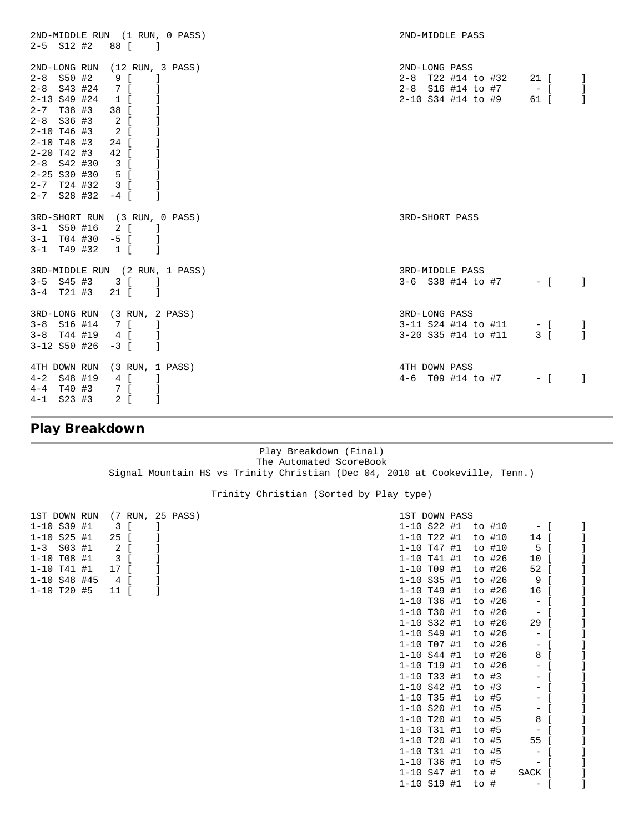| 2ND-MIDDLE RUN (1 RUN, 0 PASS)                                                                                                                                                                                                | 2ND-MIDDLE PASS                                                                                                  |
|-------------------------------------------------------------------------------------------------------------------------------------------------------------------------------------------------------------------------------|------------------------------------------------------------------------------------------------------------------|
| $2-5$ $S12$ $#2$ $88$ [<br>$\sim$ 1                                                                                                                                                                                           |                                                                                                                  |
| 2ND-LONG RUN (12 RUN, 3 PASS)<br>$2 - 8$ S50 #2<br>$9$ [ ]<br>2-8 \$43 #24 7 [ ]<br>2-13 S49 #24 1 [ ]<br>2-7 T38 #3 38 [ ]<br>$2 - 8$ S36 #3<br>$2 \left[ \right]$<br>$2 \int$<br>$2 - 10$ T46 #3<br>$2 - 10$ T48 #3<br>24 [ | 2ND-LONG PASS<br>2-8 T22 #14 to #32 21 [<br>-1<br>2-8 S16 #14 to #7 - [<br>-1<br>1<br>2-10 S34 #14 to #9<br>61 [ |
| $2 - 20$ T42 #3<br>42 [<br>$\blacksquare$<br>$2 - 8$ S42 #30 3 [<br>$\Box$<br>2-25 S30 #30 5 [ ]<br>$2-7$ T24 #32 3 [ ]<br>$2-7$ S28 #32 $-4$ [<br>-1                                                                         |                                                                                                                  |
| 3RD-SHORT RUN (3 RUN, 0 PASS)<br>$3-1$ S50 #16 2 [ ]<br>$3-1$ T04 #30 -5 [ ]<br>$3-1$ T49 #32 1 [ ]                                                                                                                           | 3RD-SHORT PASS                                                                                                   |
| 3RD-MIDDLE RUN (2 RUN, 1 PASS)<br>$3-5$ $S45$ $\#3$ $3$ [<br>$3-4$ T21 #3 21 [<br>$\sim$ 1                                                                                                                                    | 3RD-MIDDLE PASS<br>$3-6$ S38 #14 to #7 - [<br>-1                                                                 |
| 3RD-LONG RUN (3 RUN, 2 PASS)<br>$3-8$ S16 #14 7 [ ]<br>3-8 T44 #19 4 [ ]<br>$3-12$ S50 #26 -3 [<br>$\sim$ 1                                                                                                                   | 3RD-LONG PASS<br>$3-11$ S24 #14 to #11 - [<br>-1<br>$\mathbf{1}$<br>3-20 S35 #14 to #11<br>3 [                   |
| 4TH DOWN RUN (3 RUN, 1 PASS)<br>$4 - 2$ S48 #19<br>4 [ ]<br>7 [ ]<br>$4 - 4$ T40 #3<br>$2 \mid$<br>$4 - 1$ S23 #3<br>$\Box$                                                                                                   | 4TH DOWN PASS<br>4-6 T09 #14 to #7<br>$-$ [<br>-1                                                                |

# **Play Breakdown**

Play Breakdown (Final) The Automated ScoreBook Signal Mountain HS vs Trinity Christian (Dec 04, 2010 at Cookeville, Tenn.)

Trinity Christian (Sorted by Play type)

| 1ST DOWN RUN      | (7 RUN, 25 PASS) |  | 1ST DOWN PASS   |  |         |        |                          |  |
|-------------------|------------------|--|-----------------|--|---------|--------|--------------------------|--|
| $1 - 10$ S39 #1   | 3                |  | $1 - 10$ S22 #1 |  |         | to #10 | $-$ 1                    |  |
| $1 - 10$ S25 #1   | 25               |  | $1 - 10$ T22 #1 |  |         | to #10 | 14 [                     |  |
| S03 #1<br>$1 - 3$ | 2                |  | $1 - 10$ T47 #1 |  |         | to #10 | 5                        |  |
| $1 - 10$ T08 #1   | 3                |  | $1 - 10$ T41 #1 |  |         | to #26 | 10                       |  |
| $1 - 10$ T41 #1   | 17               |  | $1 - 10$ T09 #1 |  |         | to #26 | 52 [                     |  |
| $1 - 10$ S48 #45  | 4 [              |  | $1 - 10$ S35 #1 |  |         | to #26 | 9                        |  |
| $1 - 10$ T20 #5   | 11<br>-1         |  | $1 - 10$ T49 #1 |  |         | to #26 | 16 [                     |  |
|                   |                  |  | $1 - 10$ T36 #1 |  |         | to #26 | $\sim$                   |  |
|                   |                  |  | $1 - 10$ T30 #1 |  |         | to #26 | $\overline{\phantom{m}}$ |  |
|                   |                  |  | $1 - 10$ S32 #1 |  |         | to #26 | 29 [                     |  |
|                   |                  |  | $1 - 10$ S49 #1 |  |         | to #26 | $\overline{\phantom{m}}$ |  |
|                   |                  |  | $1 - 10$ T07 #1 |  |         | to #26 | $-$ .                    |  |
|                   |                  |  | $1 - 10 S44 #1$ |  |         | to #26 | 8                        |  |
|                   |                  |  | $1 - 10$ T19 #1 |  |         | to #26 | $\overline{\phantom{a}}$ |  |
|                   |                  |  | $1 - 10$ T33 #1 |  | to $#3$ |        | $ \vert$                 |  |
|                   |                  |  | $1 - 10 S42 #1$ |  | to $#3$ |        | $\sim$                   |  |
|                   |                  |  | $1 - 10$ T35 #1 |  | to #5   |        | $\sim$                   |  |
|                   |                  |  | $1 - 10$ S20 #1 |  | to #5   |        | $\qquad \qquad -$        |  |
|                   |                  |  | $1 - 10$ T20 #1 |  | to #5   |        | 8                        |  |
|                   |                  |  | $1 - 10$ T31 #1 |  | to #5   |        | $\qquad \qquad -$        |  |
|                   |                  |  | $1 - 10$ T20 #1 |  | to #5   |        | 55                       |  |
|                   |                  |  | $1 - 10$ T31 #1 |  | to #5   |        | $\qquad \qquad -$        |  |
|                   |                  |  | $1 - 10$ T36 #1 |  | to #5   |        | -                        |  |
|                   |                  |  | $1 - 10 S47 11$ |  | to #    |        | SACK [                   |  |
|                   |                  |  | $1 - 10$ S19 #1 |  | to #    |        | $\overline{\phantom{m}}$ |  |